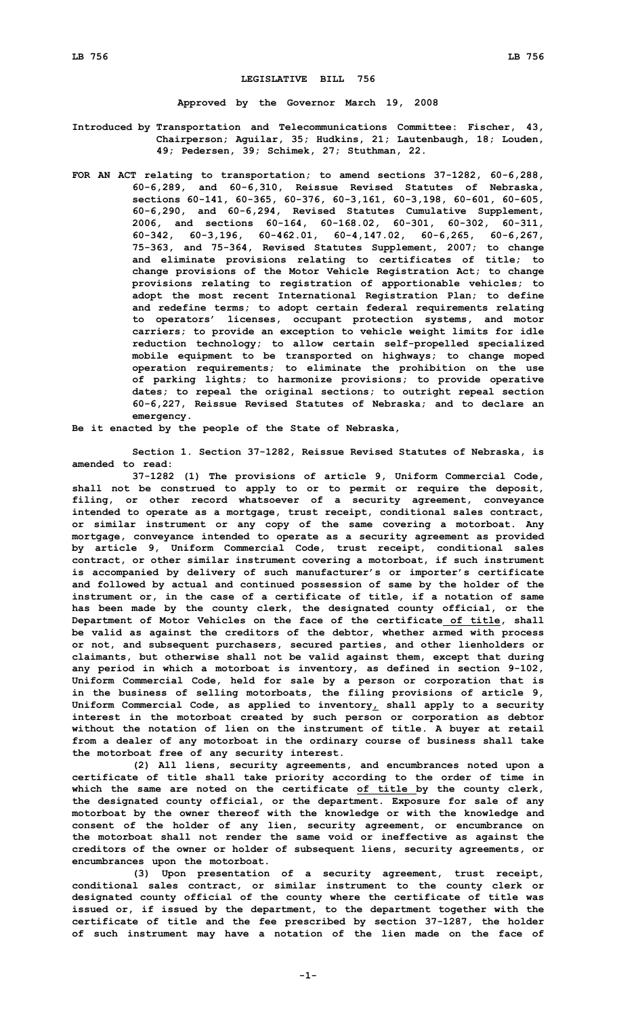## **LEGISLATIVE BILL 756**

**Approved by the Governor March 19, 2008**

- **Introduced by Transportation and Telecommunications Committee: Fischer, 43, Chairperson; Aguilar, 35; Hudkins, 21; Lautenbaugh, 18; Louden, 49; Pedersen, 39; Schimek, 27; Stuthman, 22.**
- **FOR AN ACT relating to transportation; to amend sections 37-1282, 60-6,288, 60-6,289, and 60-6,310, Reissue Revised Statutes of Nebraska, sections 60-141, 60-365, 60-376, 60-3,161, 60-3,198, 60-601, 60-605, 60-6,290, and 60-6,294, Revised Statutes Cumulative Supplement, 2006, and sections 60-164, 60-168.02, 60-301, 60-302, 60-311, 60-342, 60-3,196, 60-462.01, 60-4,147.02, 60-6,265, 60-6,267, 75-363, and 75-364, Revised Statutes Supplement, 2007; to change and eliminate provisions relating to certificates of title; to change provisions of the Motor Vehicle Registration Act; to change provisions relating to registration of apportionable vehicles; to adopt the most recent International Registration Plan; to define and redefine terms; to adopt certain federal requirements relating to operators' licenses, occupant protection systems, and motor carriers; to provide an exception to vehicle weight limits for idle reduction technology; to allow certain self-propelled specialized mobile equipment to be transported on highways; to change moped operation requirements; to eliminate the prohibition on the use of parking lights; to harmonize provisions; to provide operative dates; to repeal the original sections; to outright repeal section 60-6,227, Reissue Revised Statutes of Nebraska; and to declare an emergency.**

**Be it enacted by the people of the State of Nebraska,**

**Section 1. Section 37-1282, Reissue Revised Statutes of Nebraska, is amended to read:**

**37-1282 (1) The provisions of article 9, Uniform Commercial Code, shall not be construed to apply to or to permit or require the deposit, filing, or other record whatsoever of <sup>a</sup> security agreement, conveyance intended to operate as <sup>a</sup> mortgage, trust receipt, conditional sales contract, or similar instrument or any copy of the same covering <sup>a</sup> motorboat. Any mortgage, conveyance intended to operate as <sup>a</sup> security agreement as provided by article 9, Uniform Commercial Code, trust receipt, conditional sales contract, or other similar instrument covering <sup>a</sup> motorboat, if such instrument is accompanied by delivery of such manufacturer's or importer's certificate and followed by actual and continued possession of same by the holder of the instrument or, in the case of <sup>a</sup> certificate of title, if <sup>a</sup> notation of same has been made by the county clerk, the designated county official, or the Department of Motor Vehicles on the face of the certificate of title, shall be valid as against the creditors of the debtor, whether armed with process or not, and subsequent purchasers, secured parties, and other lienholders or claimants, but otherwise shall not be valid against them, except that during any period in which <sup>a</sup> motorboat is inventory, as defined in section 9-102, Uniform Commercial Code, held for sale by <sup>a</sup> person or corporation that is in the business of selling motorboats, the filing provisions of article 9, Uniform Commercial Code, as applied to inventory, shall apply to <sup>a</sup> security interest in the motorboat created by such person or corporation as debtor without the notation of lien on the instrument of title. A buyer at retail from <sup>a</sup> dealer of any motorboat in the ordinary course of business shall take the motorboat free of any security interest.**

**(2) All liens, security agreements, and encumbrances noted upon <sup>a</sup> certificate of title shall take priority according to the order of time in which the same are noted on the certificate of title by the county clerk, the designated county official, or the department. Exposure for sale of any motorboat by the owner thereof with the knowledge or with the knowledge and consent of the holder of any lien, security agreement, or encumbrance on the motorboat shall not render the same void or ineffective as against the creditors of the owner or holder of subsequent liens, security agreements, or encumbrances upon the motorboat.**

**(3) Upon presentation of <sup>a</sup> security agreement, trust receipt, conditional sales contract, or similar instrument to the county clerk or designated county official of the county where the certificate of title was issued or, if issued by the department, to the department together with the certificate of title and the fee prescribed by section 37-1287, the holder of such instrument may have <sup>a</sup> notation of the lien made on the face of**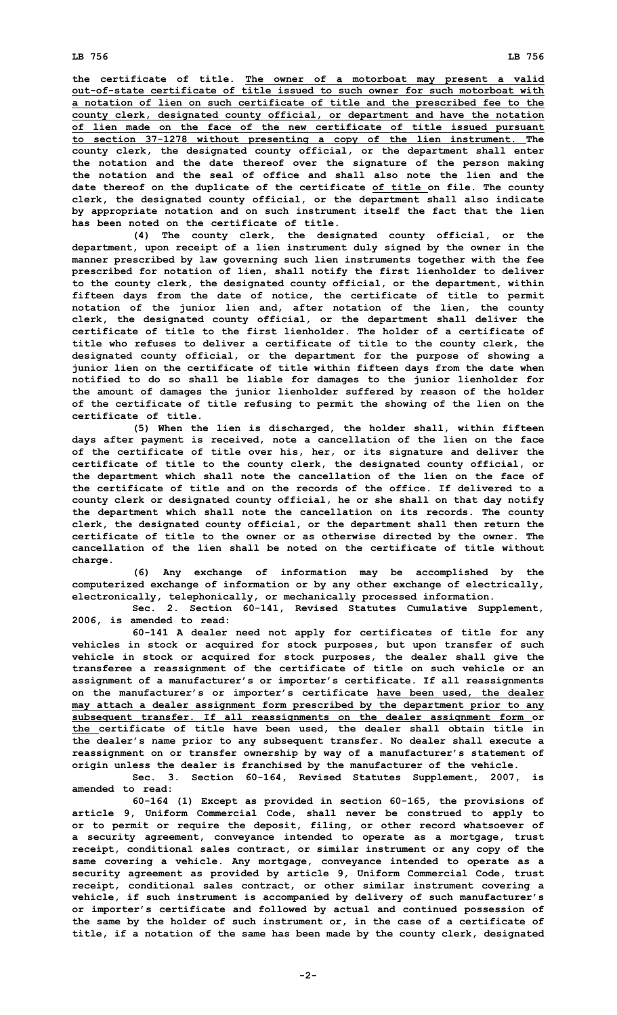**the certificate of title. The owner of <sup>a</sup> motorboat may present <sup>a</sup> valid out-of-state certificate of title issued to such owner for such motorboat with <sup>a</sup> notation of lien on such certificate of title and the prescribed fee to the county clerk, designated county official, or department and have the notation of lien made on the face of the new certificate of title issued pursuant to section 37-1278 without presenting <sup>a</sup> copy of the lien instrument. The county clerk, the designated county official, or the department shall enter the notation and the date thereof over the signature of the person making the notation and the seal of office and shall also note the lien and the date thereof on the duplicate of the certificate of title on file. The county clerk, the designated county official, or the department shall also indicate by appropriate notation and on such instrument itself the fact that the lien has been noted on the certificate of title.**

**(4) The county clerk, the designated county official, or the department, upon receipt of <sup>a</sup> lien instrument duly signed by the owner in the manner prescribed by law governing such lien instruments together with the fee prescribed for notation of lien, shall notify the first lienholder to deliver to the county clerk, the designated county official, or the department, within fifteen days from the date of notice, the certificate of title to permit notation of the junior lien and, after notation of the lien, the county clerk, the designated county official, or the department shall deliver the certificate of title to the first lienholder. The holder of a certificate of title who refuses to deliver <sup>a</sup> certificate of title to the county clerk, the designated county official, or the department for the purpose of showing <sup>a</sup> junior lien on the certificate of title within fifteen days from the date when notified to do so shall be liable for damages to the junior lienholder for the amount of damages the junior lienholder suffered by reason of the holder of the certificate of title refusing to permit the showing of the lien on the certificate of title.**

**(5) When the lien is discharged, the holder shall, within fifteen days after payment is received, note <sup>a</sup> cancellation of the lien on the face of the certificate of title over his, her, or its signature and deliver the certificate of title to the county clerk, the designated county official, or the department which shall note the cancellation of the lien on the face of the certificate of title and on the records of the office. If delivered to a county clerk or designated county official, he or she shall on that day notify the department which shall note the cancellation on its records. The county clerk, the designated county official, or the department shall then return the certificate of title to the owner or as otherwise directed by the owner. The cancellation of the lien shall be noted on the certificate of title without charge.**

**(6) Any exchange of information may be accomplished by the computerized exchange of information or by any other exchange of electrically, electronically, telephonically, or mechanically processed information.**

**Sec. 2. Section 60-141, Revised Statutes Cumulative Supplement, 2006, is amended to read:**

**60-141 <sup>A</sup> dealer need not apply for certificates of title for any vehicles in stock or acquired for stock purposes, but upon transfer of such vehicle in stock or acquired for stock purposes, the dealer shall give the transferee <sup>a</sup> reassignment of the certificate of title on such vehicle or an assignment of <sup>a</sup> manufacturer's or importer's certificate. If all reassignments on the manufacturer's or importer's certificate have been used, the dealer may attach <sup>a</sup> dealer assignment form prescribed by the department prior to any subsequent transfer. If all reassignments on the dealer assignment form or the certificate of title have been used, the dealer shall obtain title in the dealer's name prior to any subsequent transfer. No dealer shall execute <sup>a</sup> reassignment on or transfer ownership by way of <sup>a</sup> manufacturer's statement of origin unless the dealer is franchised by the manufacturer of the vehicle. Sec. 3. Section 60-164, Revised Statutes Supplement, 2007, is**

**amended to read:**

**60-164 (1) Except as provided in section 60-165, the provisions of article 9, Uniform Commercial Code, shall never be construed to apply to or to permit or require the deposit, filing, or other record whatsoever of <sup>a</sup> security agreement, conveyance intended to operate as <sup>a</sup> mortgage, trust receipt, conditional sales contract, or similar instrument or any copy of the same covering <sup>a</sup> vehicle. Any mortgage, conveyance intended to operate as <sup>a</sup> security agreement as provided by article 9, Uniform Commercial Code, trust receipt, conditional sales contract, or other similar instrument covering <sup>a</sup> vehicle, if such instrument is accompanied by delivery of such manufacturer's or importer's certificate and followed by actual and continued possession of the same by the holder of such instrument or, in the case of <sup>a</sup> certificate of title, if <sup>a</sup> notation of the same has been made by the county clerk, designated**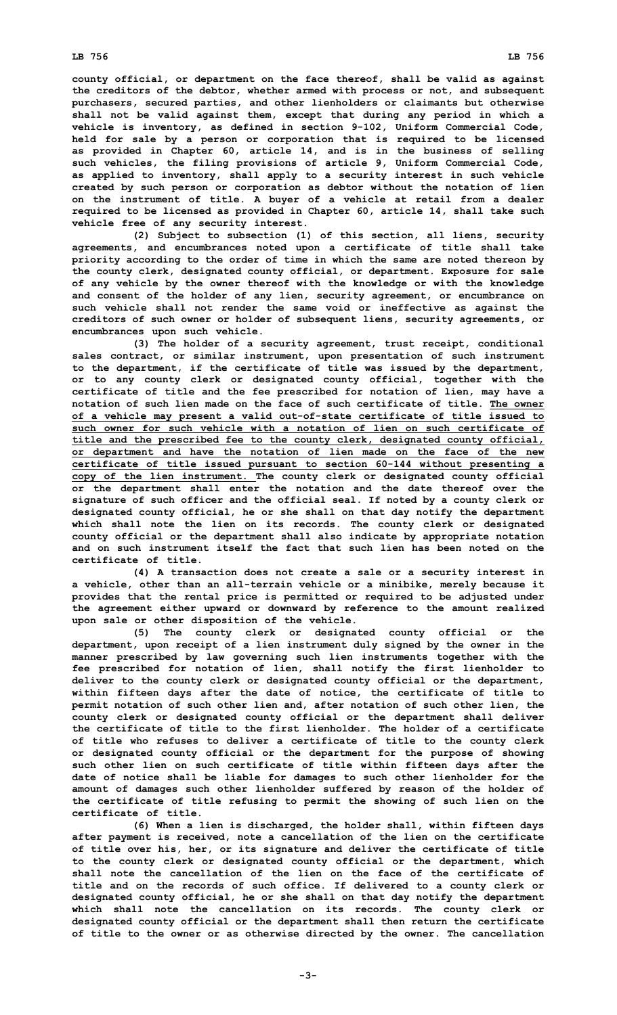**county official, or department on the face thereof, shall be valid as against the creditors of the debtor, whether armed with process or not, and subsequent purchasers, secured parties, and other lienholders or claimants but otherwise shall not be valid against them, except that during any period in which <sup>a</sup> vehicle is inventory, as defined in section 9-102, Uniform Commercial Code, held for sale by <sup>a</sup> person or corporation that is required to be licensed as provided in Chapter 60, article 14, and is in the business of selling such vehicles, the filing provisions of article 9, Uniform Commercial Code, as applied to inventory, shall apply to <sup>a</sup> security interest in such vehicle created by such person or corporation as debtor without the notation of lien on the instrument of title. A buyer of <sup>a</sup> vehicle at retail from <sup>a</sup> dealer required to be licensed as provided in Chapter 60, article 14, shall take such vehicle free of any security interest.**

**(2) Subject to subsection (1) of this section, all liens, security agreements, and encumbrances noted upon <sup>a</sup> certificate of title shall take priority according to the order of time in which the same are noted thereon by the county clerk, designated county official, or department. Exposure for sale of any vehicle by the owner thereof with the knowledge or with the knowledge and consent of the holder of any lien, security agreement, or encumbrance on such vehicle shall not render the same void or ineffective as against the creditors of such owner or holder of subsequent liens, security agreements, or encumbrances upon such vehicle.**

**(3) The holder of <sup>a</sup> security agreement, trust receipt, conditional sales contract, or similar instrument, upon presentation of such instrument to the department, if the certificate of title was issued by the department, or to any county clerk or designated county official, together with the certificate of title and the fee prescribed for notation of lien, may have <sup>a</sup> notation of such lien made on the face of such certificate of title. The owner of <sup>a</sup> vehicle may present <sup>a</sup> valid out-of-state certificate of title issued to such owner for such vehicle with a notation of lien on such certificate of title and the prescribed fee to the county clerk, designated county official, or department and have the notation of lien made on the face of the new certificate of title issued pursuant to section 60-144 without presenting <sup>a</sup> copy of the lien instrument. The county clerk or designated county official or the department shall enter the notation and the date thereof over the signature of such officer and the official seal. If noted by <sup>a</sup> county clerk or designated county official, he or she shall on that day notify the department which shall note the lien on its records. The county clerk or designated county official or the department shall also indicate by appropriate notation and on such instrument itself the fact that such lien has been noted on the certificate of title.**

**(4) <sup>A</sup> transaction does not create <sup>a</sup> sale or <sup>a</sup> security interest in <sup>a</sup> vehicle, other than an all-terrain vehicle or <sup>a</sup> minibike, merely because it provides that the rental price is permitted or required to be adjusted under the agreement either upward or downward by reference to the amount realized upon sale or other disposition of the vehicle.**

**(5) The county clerk or designated county official or the department, upon receipt of <sup>a</sup> lien instrument duly signed by the owner in the manner prescribed by law governing such lien instruments together with the fee prescribed for notation of lien, shall notify the first lienholder to deliver to the county clerk or designated county official or the department, within fifteen days after the date of notice, the certificate of title to permit notation of such other lien and, after notation of such other lien, the county clerk or designated county official or the department shall deliver the certificate of title to the first lienholder. The holder of a certificate of title who refuses to deliver <sup>a</sup> certificate of title to the county clerk or designated county official or the department for the purpose of showing such other lien on such certificate of title within fifteen days after the date of notice shall be liable for damages to such other lienholder for the amount of damages such other lienholder suffered by reason of the holder of the certificate of title refusing to permit the showing of such lien on the certificate of title.**

**(6) When <sup>a</sup> lien is discharged, the holder shall, within fifteen days after payment is received, note <sup>a</sup> cancellation of the lien on the certificate of title over his, her, or its signature and deliver the certificate of title to the county clerk or designated county official or the department, which shall note the cancellation of the lien on the face of the certificate of title and on the records of such office. If delivered to <sup>a</sup> county clerk or designated county official, he or she shall on that day notify the department which shall note the cancellation on its records. The county clerk or designated county official or the department shall then return the certificate of title to the owner or as otherwise directed by the owner. The cancellation**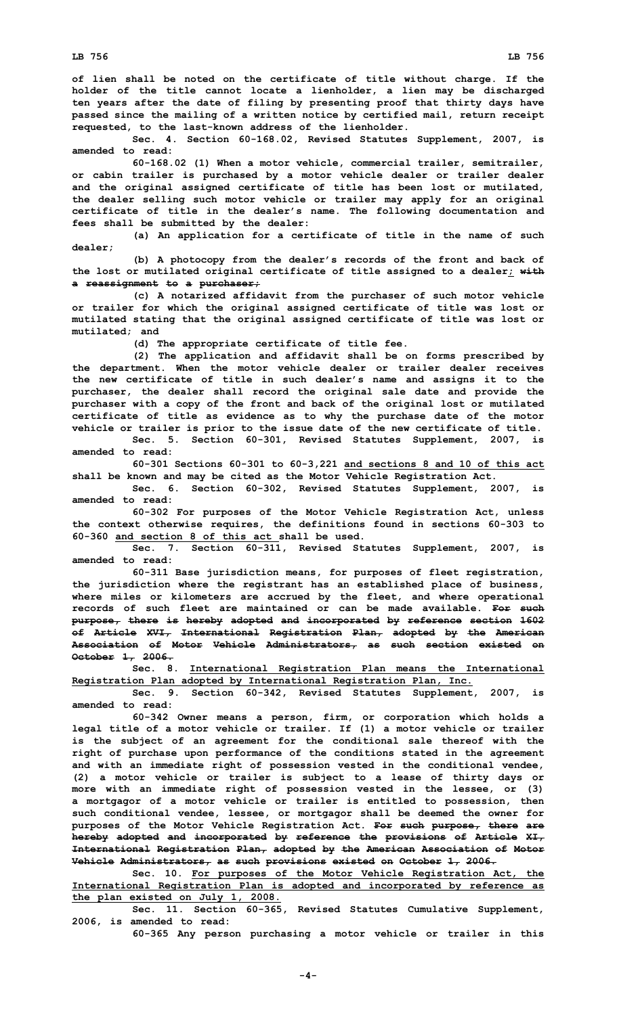**of lien shall be noted on the certificate of title without charge. If the holder of the title cannot locate <sup>a</sup> lienholder, <sup>a</sup> lien may be discharged ten years after the date of filing by presenting proof that thirty days have passed since the mailing of <sup>a</sup> written notice by certified mail, return receipt requested, to the last-known address of the lienholder.**

**Sec. 4. Section 60-168.02, Revised Statutes Supplement, 2007, is amended to read:**

**60-168.02 (1) When <sup>a</sup> motor vehicle, commercial trailer, semitrailer, or cabin trailer is purchased by <sup>a</sup> motor vehicle dealer or trailer dealer and the original assigned certificate of title has been lost or mutilated, the dealer selling such motor vehicle or trailer may apply for an original certificate of title in the dealer's name. The following documentation and fees shall be submitted by the dealer:**

**(a) An application for <sup>a</sup> certificate of title in the name of such dealer;**

**(b) <sup>A</sup> photocopy from the dealer's records of the front and back of the lost or mutilated original certificate of title assigned to <sup>a</sup> dealer; with <sup>a</sup> reassignment to <sup>a</sup> purchaser;**

**(c) <sup>A</sup> notarized affidavit from the purchaser of such motor vehicle or trailer for which the original assigned certificate of title was lost or mutilated stating that the original assigned certificate of title was lost or mutilated; and**

**(d) The appropriate certificate of title fee.**

**(2) The application and affidavit shall be on forms prescribed by the department. When the motor vehicle dealer or trailer dealer receives the new certificate of title in such dealer's name and assigns it to the purchaser, the dealer shall record the original sale date and provide the purchaser with <sup>a</sup> copy of the front and back of the original lost or mutilated certificate of title as evidence as to why the purchase date of the motor vehicle or trailer is prior to the issue date of the new certificate of title. Sec. 5. Section 60-301, Revised Statutes Supplement, 2007, is**

**amended to read: 60-301 Sections 60-301 to 60-3,221 and sections 8 and 10 of this act**

**shall be known and may be cited as the Motor Vehicle Registration Act.**

**Sec. 6. Section 60-302, Revised Statutes Supplement, 2007, is amended to read:**

**60-302 For purposes of the Motor Vehicle Registration Act, unless the context otherwise requires, the definitions found in sections 60-303 to 60-360 and section 8 of this act shall be used.**

**Sec. 7. Section 60-311, Revised Statutes Supplement, 2007, is amended to read:**

**60-311 Base jurisdiction means, for purposes of fleet registration, the jurisdiction where the registrant has an established place of business, where miles or kilometers are accrued by the fleet, and where operational records of such fleet are maintained or can be made available. For such purpose, there is hereby adopted and incorporated by reference section 1602 of Article XVI, International Registration Plan, adopted by the American Association of Motor Vehicle Administrators, as such section existed on October 1, 2006.**

**Sec. 8. International Registration Plan means the International Registration Plan adopted by International Registration Plan, Inc.**

**Sec. 9. Section 60-342, Revised Statutes Supplement, 2007, is amended to read:**

**60-342 Owner means <sup>a</sup> person, firm, or corporation which holds <sup>a</sup> legal title of <sup>a</sup> motor vehicle or trailer. If (1) <sup>a</sup> motor vehicle or trailer is the subject of an agreement for the conditional sale thereof with the right of purchase upon performance of the conditions stated in the agreement and with an immediate right of possession vested in the conditional vendee, (2) <sup>a</sup> motor vehicle or trailer is subject to <sup>a</sup> lease of thirty days or more with an immediate right of possession vested in the lessee, or (3) <sup>a</sup> mortgagor of <sup>a</sup> motor vehicle or trailer is entitled to possession, then such conditional vendee, lessee, or mortgagor shall be deemed the owner for purposes of the Motor Vehicle Registration Act. For such purpose, there are hereby adopted and incorporated by reference the provisions of Article XI, International Registration Plan, adopted by the American Association of Motor Vehicle Administrators, as such provisions existed on October 1, 2006.**

**Sec. 10. For purposes of the Motor Vehicle Registration Act, the International Registration Plan is adopted and incorporated by reference as the plan existed on July 1, 2008.**

**Sec. 11. Section 60-365, Revised Statutes Cumulative Supplement, 2006, is amended to read:**

**60-365 Any person purchasing <sup>a</sup> motor vehicle or trailer in this**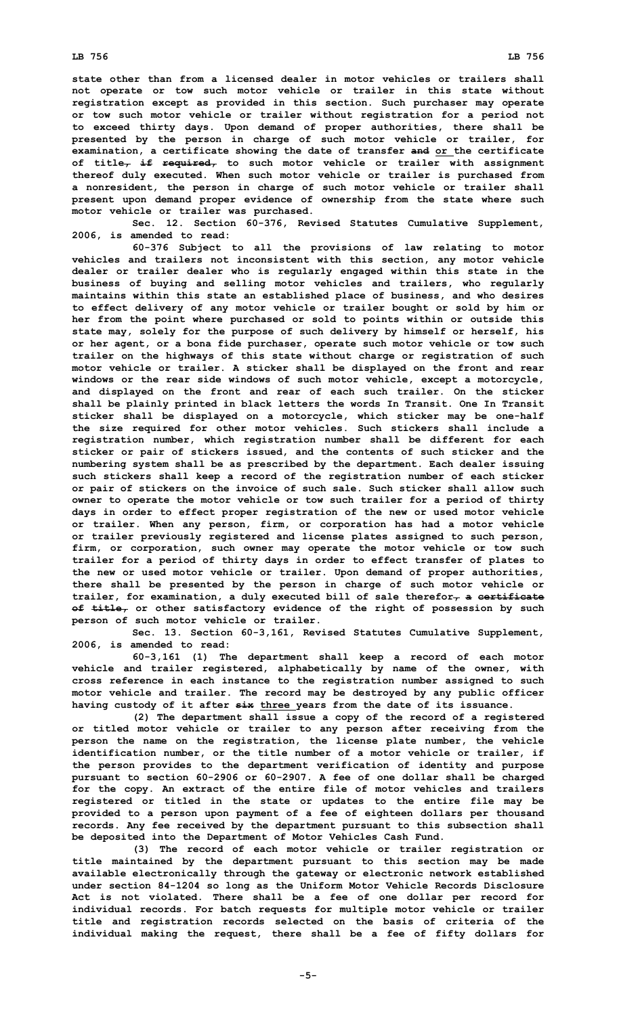**state other than from a licensed dealer in motor vehicles or trailers shall not operate or tow such motor vehicle or trailer in this state without registration except as provided in this section. Such purchaser may operate or tow such motor vehicle or trailer without registration for <sup>a</sup> period not to exceed thirty days. Upon demand of proper authorities, there shall be presented by the person in charge of such motor vehicle or trailer, for examination, <sup>a</sup> certificate showing the date of transfer and or the certificate of title, if required, to such motor vehicle or trailer with assignment thereof duly executed. When such motor vehicle or trailer is purchased from <sup>a</sup> nonresident, the person in charge of such motor vehicle or trailer shall present upon demand proper evidence of ownership from the state where such motor vehicle or trailer was purchased.**

**Sec. 12. Section 60-376, Revised Statutes Cumulative Supplement, 2006, is amended to read:**

**60-376 Subject to all the provisions of law relating to motor vehicles and trailers not inconsistent with this section, any motor vehicle dealer or trailer dealer who is regularly engaged within this state in the business of buying and selling motor vehicles and trailers, who regularly maintains within this state an established place of business, and who desires to effect delivery of any motor vehicle or trailer bought or sold by him or her from the point where purchased or sold to points within or outside this state may, solely for the purpose of such delivery by himself or herself, his or her agent, or <sup>a</sup> bona fide purchaser, operate such motor vehicle or tow such trailer on the highways of this state without charge or registration of such motor vehicle or trailer. A sticker shall be displayed on the front and rear windows or the rear side windows of such motor vehicle, except <sup>a</sup> motorcycle, and displayed on the front and rear of each such trailer. On the sticker shall be plainly printed in black letters the words In Transit. One In Transit sticker shall be displayed on <sup>a</sup> motorcycle, which sticker may be one-half the size required for other motor vehicles. Such stickers shall include <sup>a</sup> registration number, which registration number shall be different for each sticker or pair of stickers issued, and the contents of such sticker and the numbering system shall be as prescribed by the department. Each dealer issuing such stickers shall keep <sup>a</sup> record of the registration number of each sticker or pair of stickers on the invoice of such sale. Such sticker shall allow such owner to operate the motor vehicle or tow such trailer for <sup>a</sup> period of thirty days in order to effect proper registration of the new or used motor vehicle or trailer. When any person, firm, or corporation has had <sup>a</sup> motor vehicle or trailer previously registered and license plates assigned to such person, firm, or corporation, such owner may operate the motor vehicle or tow such trailer for <sup>a</sup> period of thirty days in order to effect transfer of plates to the new or used motor vehicle or trailer. Upon demand of proper authorities, there shall be presented by the person in charge of such motor vehicle or trailer, for examination, <sup>a</sup> duly executed bill of sale therefor, <sup>a</sup> certificate of title, or other satisfactory evidence of the right of possession by such person of such motor vehicle or trailer.**

**Sec. 13. Section 60-3,161, Revised Statutes Cumulative Supplement, 2006, is amended to read:**

**60-3,161 (1) The department shall keep <sup>a</sup> record of each motor vehicle and trailer registered, alphabetically by name of the owner, with cross reference in each instance to the registration number assigned to such motor vehicle and trailer. The record may be destroyed by any public officer having custody of it after six three years from the date of its issuance.**

**(2) The department shall issue <sup>a</sup> copy of the record of <sup>a</sup> registered or titled motor vehicle or trailer to any person after receiving from the person the name on the registration, the license plate number, the vehicle identification number, or the title number of <sup>a</sup> motor vehicle or trailer, if the person provides to the department verification of identity and purpose pursuant to section 60-2906 or 60-2907. <sup>A</sup> fee of one dollar shall be charged for the copy. An extract of the entire file of motor vehicles and trailers registered or titled in the state or updates to the entire file may be provided to <sup>a</sup> person upon payment of <sup>a</sup> fee of eighteen dollars per thousand records. Any fee received by the department pursuant to this subsection shall be deposited into the Department of Motor Vehicles Cash Fund.**

**(3) The record of each motor vehicle or trailer registration or title maintained by the department pursuant to this section may be made available electronically through the gateway or electronic network established under section 84-1204 so long as the Uniform Motor Vehicle Records Disclosure Act is not violated. There shall be <sup>a</sup> fee of one dollar per record for individual records. For batch requests for multiple motor vehicle or trailer title and registration records selected on the basis of criteria of the individual making the request, there shall be <sup>a</sup> fee of fifty dollars for**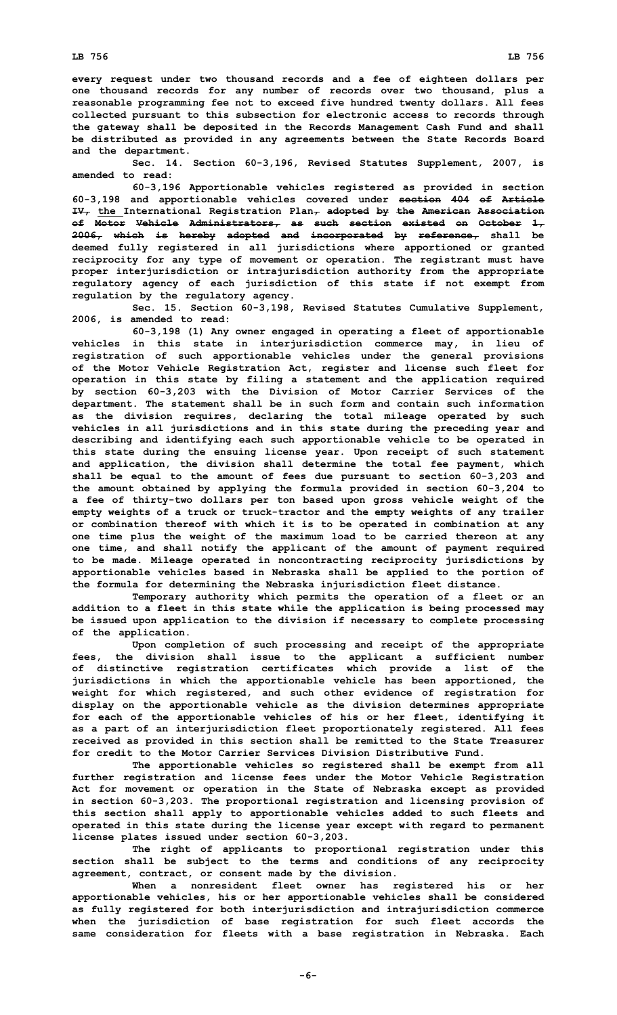**every request under two thousand records and <sup>a</sup> fee of eighteen dollars per one thousand records for any number of records over two thousand, plus <sup>a</sup> reasonable programming fee not to exceed five hundred twenty dollars. All fees collected pursuant to this subsection for electronic access to records through the gateway shall be deposited in the Records Management Cash Fund and shall be distributed as provided in any agreements between the State Records Board and the department.**

**Sec. 14. Section 60-3,196, Revised Statutes Supplement, 2007, is amended to read:**

**60-3,196 Apportionable vehicles registered as provided in section 60-3,198 and apportionable vehicles covered under section 404 of Article IV, the International Registration Plan, adopted by the American Association of Motor Vehicle Administrators, as such section existed on October 1, 2006, which is hereby adopted and incorporated by reference, shall be deemed fully registered in all jurisdictions where apportioned or granted reciprocity for any type of movement or operation. The registrant must have proper interjurisdiction or intrajurisdiction authority from the appropriate regulatory agency of each jurisdiction of this state if not exempt from regulation by the regulatory agency.**

**Sec. 15. Section 60-3,198, Revised Statutes Cumulative Supplement, 2006, is amended to read:**

**60-3,198 (1) Any owner engaged in operating <sup>a</sup> fleet of apportionable vehicles in this state in interjurisdiction commerce may, in lieu of registration of such apportionable vehicles under the general provisions of the Motor Vehicle Registration Act, register and license such fleet for operation in this state by filing <sup>a</sup> statement and the application required by section 60-3,203 with the Division of Motor Carrier Services of the department. The statement shall be in such form and contain such information as the division requires, declaring the total mileage operated by such vehicles in all jurisdictions and in this state during the preceding year and describing and identifying each such apportionable vehicle to be operated in this state during the ensuing license year. Upon receipt of such statement and application, the division shall determine the total fee payment, which shall be equal to the amount of fees due pursuant to section 60-3,203 and the amount obtained by applying the formula provided in section 60-3,204 to <sup>a</sup> fee of thirty-two dollars per ton based upon gross vehicle weight of the empty weights of <sup>a</sup> truck or truck-tractor and the empty weights of any trailer or combination thereof with which it is to be operated in combination at any one time plus the weight of the maximum load to be carried thereon at any one time, and shall notify the applicant of the amount of payment required to be made. Mileage operated in noncontracting reciprocity jurisdictions by apportionable vehicles based in Nebraska shall be applied to the portion of the formula for determining the Nebraska injurisdiction fleet distance.**

**Temporary authority which permits the operation of <sup>a</sup> fleet or an addition to <sup>a</sup> fleet in this state while the application is being processed may be issued upon application to the division if necessary to complete processing of the application.**

**Upon completion of such processing and receipt of the appropriate fees, the division shall issue to the applicant <sup>a</sup> sufficient number of distinctive registration certificates which provide <sup>a</sup> list of the jurisdictions in which the apportionable vehicle has been apportioned, the weight for which registered, and such other evidence of registration for display on the apportionable vehicle as the division determines appropriate for each of the apportionable vehicles of his or her fleet, identifying it as <sup>a</sup> part of an interjurisdiction fleet proportionately registered. All fees received as provided in this section shall be remitted to the State Treasurer for credit to the Motor Carrier Services Division Distributive Fund.**

**The apportionable vehicles so registered shall be exempt from all further registration and license fees under the Motor Vehicle Registration Act for movement or operation in the State of Nebraska except as provided in section 60-3,203. The proportional registration and licensing provision of this section shall apply to apportionable vehicles added to such fleets and operated in this state during the license year except with regard to permanent license plates issued under section 60-3,203.**

**The right of applicants to proportional registration under this section shall be subject to the terms and conditions of any reciprocity agreement, contract, or consent made by the division.**

**When <sup>a</sup> nonresident fleet owner has registered his or her apportionable vehicles, his or her apportionable vehicles shall be considered as fully registered for both interjurisdiction and intrajurisdiction commerce when the jurisdiction of base registration for such fleet accords the same consideration for fleets with <sup>a</sup> base registration in Nebraska. Each**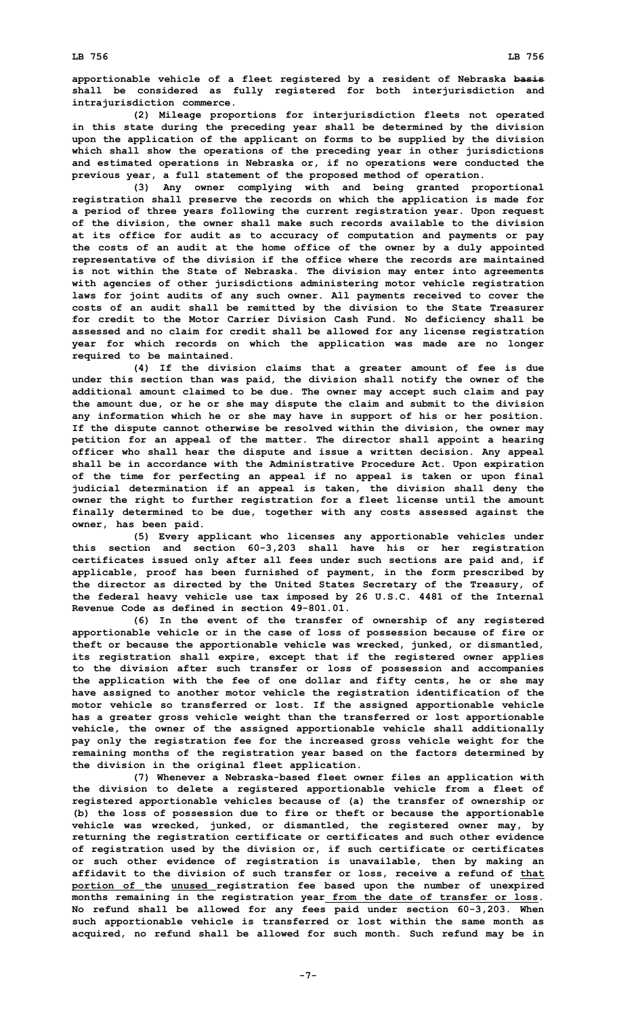**(2) Mileage proportions for interjurisdiction fleets not operated in this state during the preceding year shall be determined by the division upon the application of the applicant on forms to be supplied by the division which shall show the operations of the preceding year in other jurisdictions and estimated operations in Nebraska or, if no operations were conducted the previous year, <sup>a</sup> full statement of the proposed method of operation.**

**(3) Any owner complying with and being granted proportional registration shall preserve the records on which the application is made for <sup>a</sup> period of three years following the current registration year. Upon request of the division, the owner shall make such records available to the division at its office for audit as to accuracy of computation and payments or pay the costs of an audit at the home office of the owner by <sup>a</sup> duly appointed representative of the division if the office where the records are maintained is not within the State of Nebraska. The division may enter into agreements with agencies of other jurisdictions administering motor vehicle registration laws for joint audits of any such owner. All payments received to cover the costs of an audit shall be remitted by the division to the State Treasurer for credit to the Motor Carrier Division Cash Fund. No deficiency shall be assessed and no claim for credit shall be allowed for any license registration year for which records on which the application was made are no longer required to be maintained.**

**(4) If the division claims that <sup>a</sup> greater amount of fee is due under this section than was paid, the division shall notify the owner of the additional amount claimed to be due. The owner may accept such claim and pay the amount due, or he or she may dispute the claim and submit to the division any information which he or she may have in support of his or her position. If the dispute cannot otherwise be resolved within the division, the owner may petition for an appeal of the matter. The director shall appoint <sup>a</sup> hearing officer who shall hear the dispute and issue <sup>a</sup> written decision. Any appeal shall be in accordance with the Administrative Procedure Act. Upon expiration of the time for perfecting an appeal if no appeal is taken or upon final judicial determination if an appeal is taken, the division shall deny the owner the right to further registration for <sup>a</sup> fleet license until the amount finally determined to be due, together with any costs assessed against the owner, has been paid.**

**(5) Every applicant who licenses any apportionable vehicles under this section and section 60-3,203 shall have his or her registration certificates issued only after all fees under such sections are paid and, if applicable, proof has been furnished of payment, in the form prescribed by the director as directed by the United States Secretary of the Treasury, of the federal heavy vehicle use tax imposed by 26 U.S.C. 4481 of the Internal Revenue Code as defined in section 49-801.01.**

**(6) In the event of the transfer of ownership of any registered apportionable vehicle or in the case of loss of possession because of fire or theft or because the apportionable vehicle was wrecked, junked, or dismantled, its registration shall expire, except that if the registered owner applies to the division after such transfer or loss of possession and accompanies the application with the fee of one dollar and fifty cents, he or she may have assigned to another motor vehicle the registration identification of the motor vehicle so transferred or lost. If the assigned apportionable vehicle has <sup>a</sup> greater gross vehicle weight than the transferred or lost apportionable vehicle, the owner of the assigned apportionable vehicle shall additionally pay only the registration fee for the increased gross vehicle weight for the remaining months of the registration year based on the factors determined by the division in the original fleet application.**

**(7) Whenever <sup>a</sup> Nebraska-based fleet owner files an application with the division to delete <sup>a</sup> registered apportionable vehicle from <sup>a</sup> fleet of registered apportionable vehicles because of (a) the transfer of ownership or (b) the loss of possession due to fire or theft or because the apportionable vehicle was wrecked, junked, or dismantled, the registered owner may, by returning the registration certificate or certificates and such other evidence of registration used by the division or, if such certificate or certificates or such other evidence of registration is unavailable, then by making an affidavit to the division of such transfer or loss, receive <sup>a</sup> refund of that portion of the unused registration fee based upon the number of unexpired months remaining in the registration year from the date of transfer or loss. No refund shall be allowed for any fees paid under section 60-3,203. When such apportionable vehicle is transferred or lost within the same month as acquired, no refund shall be allowed for such month. Such refund may be in**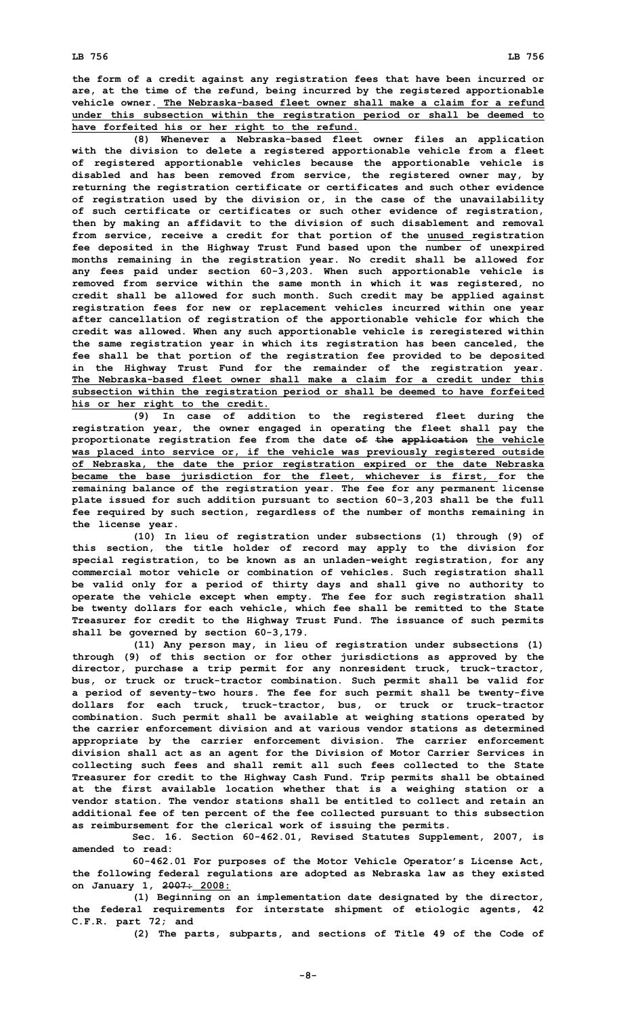**the form of <sup>a</sup> credit against any registration fees that have been incurred or are, at the time of the refund, being incurred by the registered apportionable vehicle owner. The Nebraska-based fleet owner shall make a claim for a refund under this subsection within the registration period or shall be deemed to have forfeited his or her right to the refund.**

**(8) Whenever <sup>a</sup> Nebraska-based fleet owner files an application with the division to delete <sup>a</sup> registered apportionable vehicle from <sup>a</sup> fleet of registered apportionable vehicles because the apportionable vehicle is disabled and has been removed from service, the registered owner may, by returning the registration certificate or certificates and such other evidence of registration used by the division or, in the case of the unavailability of such certificate or certificates or such other evidence of registration, then by making an affidavit to the division of such disablement and removal from service, receive <sup>a</sup> credit for that portion of the unused registration fee deposited in the Highway Trust Fund based upon the number of unexpired months remaining in the registration year. No credit shall be allowed for any fees paid under section 60-3,203. When such apportionable vehicle is removed from service within the same month in which it was registered, no credit shall be allowed for such month. Such credit may be applied against registration fees for new or replacement vehicles incurred within one year after cancellation of registration of the apportionable vehicle for which the credit was allowed. When any such apportionable vehicle is reregistered within the same registration year in which its registration has been canceled, the fee shall be that portion of the registration fee provided to be deposited in the Highway Trust Fund for the remainder of the registration year. The Nebraska-based fleet owner shall make a claim for a credit under this subsection within the registration period or shall be deemed to have forfeited his or her right to the credit.**

**(9) In case of addition to the registered fleet during the registration year, the owner engaged in operating the fleet shall pay the proportionate registration fee from the date of the application the vehicle was placed into service or, if the vehicle was previously registered outside of Nebraska, the date the prior registration expired or the date Nebraska became the base jurisdiction for the fleet, whichever is first, for the remaining balance of the registration year. The fee for any permanent license plate issued for such addition pursuant to section 60-3,203 shall be the full fee required by such section, regardless of the number of months remaining in the license year.**

**(10) In lieu of registration under subsections (1) through (9) of this section, the title holder of record may apply to the division for special registration, to be known as an unladen-weight registration, for any commercial motor vehicle or combination of vehicles. Such registration shall be valid only for <sup>a</sup> period of thirty days and shall give no authority to operate the vehicle except when empty. The fee for such registration shall be twenty dollars for each vehicle, which fee shall be remitted to the State Treasurer for credit to the Highway Trust Fund. The issuance of such permits shall be governed by section 60-3,179.**

**(11) Any person may, in lieu of registration under subsections (1) through (9) of this section or for other jurisdictions as approved by the director, purchase <sup>a</sup> trip permit for any nonresident truck, truck-tractor, bus, or truck or truck-tractor combination. Such permit shall be valid for <sup>a</sup> period of seventy-two hours. The fee for such permit shall be twenty-five dollars for each truck, truck-tractor, bus, or truck or truck-tractor combination. Such permit shall be available at weighing stations operated by the carrier enforcement division and at various vendor stations as determined appropriate by the carrier enforcement division. The carrier enforcement division shall act as an agent for the Division of Motor Carrier Services in collecting such fees and shall remit all such fees collected to the State Treasurer for credit to the Highway Cash Fund. Trip permits shall be obtained at the first available location whether that is <sup>a</sup> weighing station or <sup>a</sup> vendor station. The vendor stations shall be entitled to collect and retain an additional fee of ten percent of the fee collected pursuant to this subsection as reimbursement for the clerical work of issuing the permits.**

**Sec. 16. Section 60-462.01, Revised Statutes Supplement, 2007, is amended to read:**

**60-462.01 For purposes of the Motor Vehicle Operator's License Act, the following federal regulations are adopted as Nebraska law as they existed on January 1, 2007: 2008:**

**(1) Beginning on an implementation date designated by the director, the federal requirements for interstate shipment of etiologic agents, 42 C.F.R. part 72; and**

**(2) The parts, subparts, and sections of Title 49 of the Code of**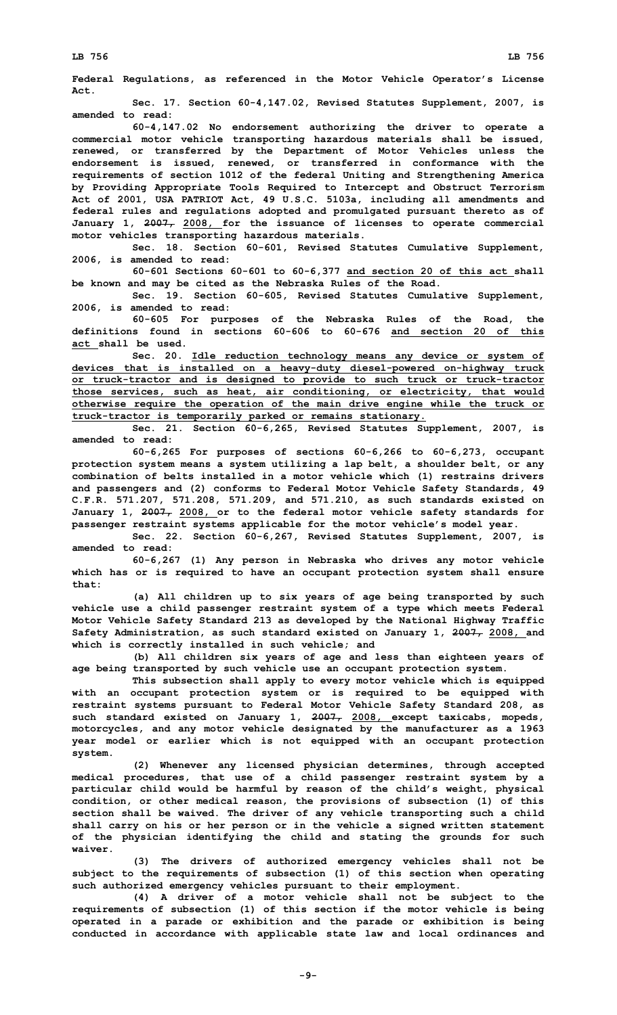**Federal Regulations, as referenced in the Motor Vehicle Operator's License Act.**

**Sec. 17. Section 60-4,147.02, Revised Statutes Supplement, 2007, is amended to read:**

**60-4,147.02 No endorsement authorizing the driver to operate <sup>a</sup> commercial motor vehicle transporting hazardous materials shall be issued, renewed, or transferred by the Department of Motor Vehicles unless the endorsement is issued, renewed, or transferred in conformance with the requirements of section 1012 of the federal Uniting and Strengthening America by Providing Appropriate Tools Required to Intercept and Obstruct Terrorism Act of 2001, USA PATRIOT Act, 49 U.S.C. 5103a, including all amendments and federal rules and regulations adopted and promulgated pursuant thereto as of January 1, 2007, 2008, for the issuance of licenses to operate commercial motor vehicles transporting hazardous materials.**

**Sec. 18. Section 60-601, Revised Statutes Cumulative Supplement, 2006, is amended to read:**

**60-601 Sections 60-601 to 60-6,377 and section 20 of this act shall be known and may be cited as the Nebraska Rules of the Road.**

**Sec. 19. Section 60-605, Revised Statutes Cumulative Supplement, 2006, is amended to read:**

**60-605 For purposes of the Nebraska Rules of the Road, the definitions found in sections 60-606 to 60-676 and section 20 of this act shall be used.**

**Sec. 20. Idle reduction technology means any device or system of devices that is installed on <sup>a</sup> heavy-duty diesel-powered on-highway truck or truck-tractor and is designed to provide to such truck or truck-tractor those services, such as heat, air conditioning, or electricity, that would otherwise require the operation of the main drive engine while the truck or truck-tractor is temporarily parked or remains stationary.**

**Sec. 21. Section 60-6,265, Revised Statutes Supplement, 2007, is amended to read:**

**60-6,265 For purposes of sections 60-6,266 to 60-6,273, occupant protection system means <sup>a</sup> system utilizing <sup>a</sup> lap belt, <sup>a</sup> shoulder belt, or any combination of belts installed in <sup>a</sup> motor vehicle which (1) restrains drivers and passengers and (2) conforms to Federal Motor Vehicle Safety Standards, 49 C.F.R. 571.207, 571.208, 571.209, and 571.210, as such standards existed on January 1, 2007, 2008, or to the federal motor vehicle safety standards for passenger restraint systems applicable for the motor vehicle's model year.**

**Sec. 22. Section 60-6,267, Revised Statutes Supplement, 2007, is amended to read:**

**60-6,267 (1) Any person in Nebraska who drives any motor vehicle which has or is required to have an occupant protection system shall ensure that:**

**(a) All children up to six years of age being transported by such vehicle use <sup>a</sup> child passenger restraint system of <sup>a</sup> type which meets Federal Motor Vehicle Safety Standard 213 as developed by the National Highway Traffic Safety Administration, as such standard existed on January 1, 2007, 2008, and which is correctly installed in such vehicle; and**

**(b) All children six years of age and less than eighteen years of age being transported by such vehicle use an occupant protection system.**

**This subsection shall apply to every motor vehicle which is equipped with an occupant protection system or is required to be equipped with restraint systems pursuant to Federal Motor Vehicle Safety Standard 208, as such standard existed on January 1, 2007, 2008, except taxicabs, mopeds, motorcycles, and any motor vehicle designated by the manufacturer as <sup>a</sup> 1963 year model or earlier which is not equipped with an occupant protection system.**

**(2) Whenever any licensed physician determines, through accepted medical procedures, that use of <sup>a</sup> child passenger restraint system by <sup>a</sup> particular child would be harmful by reason of the child's weight, physical condition, or other medical reason, the provisions of subsection (1) of this section shall be waived. The driver of any vehicle transporting such <sup>a</sup> child shall carry on his or her person or in the vehicle <sup>a</sup> signed written statement of the physician identifying the child and stating the grounds for such waiver.**

**(3) The drivers of authorized emergency vehicles shall not be subject to the requirements of subsection (1) of this section when operating such authorized emergency vehicles pursuant to their employment.**

**(4) <sup>A</sup> driver of <sup>a</sup> motor vehicle shall not be subject to the requirements of subsection (1) of this section if the motor vehicle is being operated in <sup>a</sup> parade or exhibition and the parade or exhibition is being conducted in accordance with applicable state law and local ordinances and**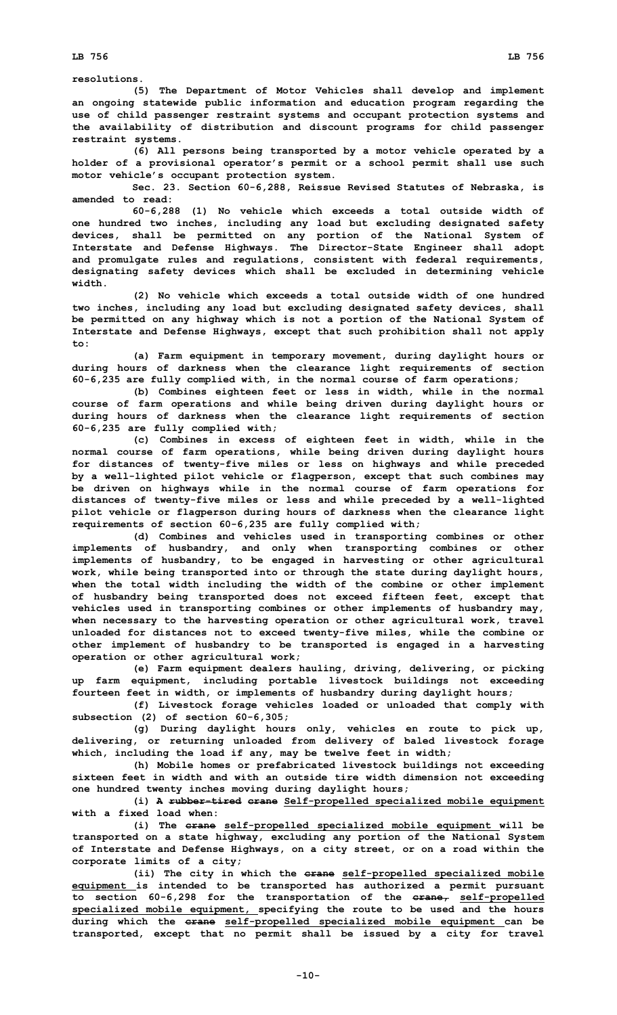**resolutions.**

**(5) The Department of Motor Vehicles shall develop and implement an ongoing statewide public information and education program regarding the use of child passenger restraint systems and occupant protection systems and the availability of distribution and discount programs for child passenger restraint systems.**

**(6) All persons being transported by <sup>a</sup> motor vehicle operated by <sup>a</sup> holder of <sup>a</sup> provisional operator's permit or <sup>a</sup> school permit shall use such motor vehicle's occupant protection system.**

**Sec. 23. Section 60-6,288, Reissue Revised Statutes of Nebraska, is amended to read:**

**60-6,288 (1) No vehicle which exceeds <sup>a</sup> total outside width of one hundred two inches, including any load but excluding designated safety devices, shall be permitted on any portion of the National System of Interstate and Defense Highways. The Director-State Engineer shall adopt and promulgate rules and regulations, consistent with federal requirements, designating safety devices which shall be excluded in determining vehicle width.**

**(2) No vehicle which exceeds <sup>a</sup> total outside width of one hundred two inches, including any load but excluding designated safety devices, shall be permitted on any highway which is not <sup>a</sup> portion of the National System of Interstate and Defense Highways, except that such prohibition shall not apply to:**

**(a) Farm equipment in temporary movement, during daylight hours or during hours of darkness when the clearance light requirements of section 60-6,235 are fully complied with, in the normal course of farm operations;**

**(b) Combines eighteen feet or less in width, while in the normal course of farm operations and while being driven during daylight hours or during hours of darkness when the clearance light requirements of section 60-6,235 are fully complied with;**

**(c) Combines in excess of eighteen feet in width, while in the normal course of farm operations, while being driven during daylight hours for distances of twenty-five miles or less on highways and while preceded by <sup>a</sup> well-lighted pilot vehicle or flagperson, except that such combines may be driven on highways while in the normal course of farm operations for distances of twenty-five miles or less and while preceded by <sup>a</sup> well-lighted pilot vehicle or flagperson during hours of darkness when the clearance light requirements of section 60-6,235 are fully complied with;**

**(d) Combines and vehicles used in transporting combines or other implements of husbandry, and only when transporting combines or other implements of husbandry, to be engaged in harvesting or other agricultural work, while being transported into or through the state during daylight hours, when the total width including the width of the combine or other implement of husbandry being transported does not exceed fifteen feet, except that vehicles used in transporting combines or other implements of husbandry may, when necessary to the harvesting operation or other agricultural work, travel unloaded for distances not to exceed twenty-five miles, while the combine or other implement of husbandry to be transported is engaged in <sup>a</sup> harvesting operation or other agricultural work;**

**(e) Farm equipment dealers hauling, driving, delivering, or picking up farm equipment, including portable livestock buildings not exceeding fourteen feet in width, or implements of husbandry during daylight hours;**

**(f) Livestock forage vehicles loaded or unloaded that comply with subsection (2) of section 60-6,305;**

**(g) During daylight hours only, vehicles en route to pick up, delivering, or returning unloaded from delivery of baled livestock forage which, including the load if any, may be twelve feet in width;**

**(h) Mobile homes or prefabricated livestock buildings not exceeding sixteen feet in width and with an outside tire width dimension not exceeding one hundred twenty inches moving during daylight hours;**

**(i) <sup>A</sup> rubber-tired crane Self-propelled specialized mobile equipment with a fixed load when:**

**(i) The crane self-propelled specialized mobile equipment will be transported on <sup>a</sup> state highway, excluding any portion of the National System of Interstate and Defense Highways, on <sup>a</sup> city street, or on <sup>a</sup> road within the corporate limits of <sup>a</sup> city;**

**(ii) The city in which the crane self-propelled specialized mobile equipment is intended to be transported has authorized <sup>a</sup> permit pursuant to section 60-6,298 for the transportation of the crane, self-propelled specialized mobile equipment, specifying the route to be used and the hours during which the crane self-propelled specialized mobile equipment can be transported, except that no permit shall be issued by <sup>a</sup> city for travel**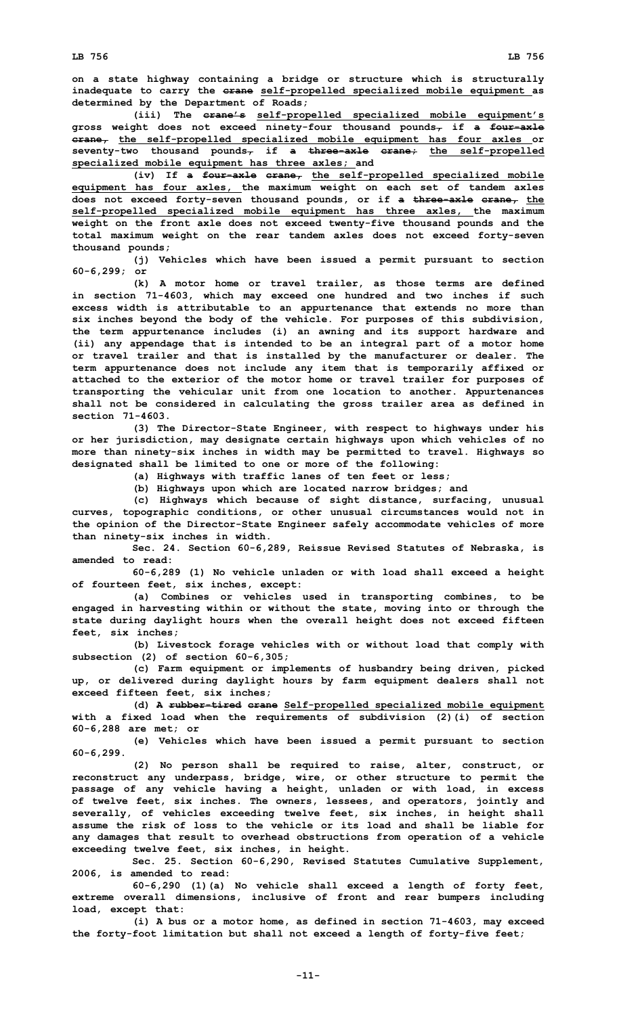**on <sup>a</sup> state highway containing <sup>a</sup> bridge or structure which is structurally inadequate to carry the crane self-propelled specialized mobile equipment as determined by the Department of Roads;**

**(iii) The crane's self-propelled specialized mobile equipment's gross weight does not exceed ninety-four thousand pounds, if <sup>a</sup> four-axle crane, the self-propelled specialized mobile equipment has four axles or seventy-two thousand pounds, if <sup>a</sup> three-axle crane; the self-propelled specialized mobile equipment has three axles; and**

**(iv) If <sup>a</sup> four-axle crane, the self-propelled specialized mobile equipment has four axles, the maximum weight on each set of tandem axles does not exceed forty-seven thousand pounds, or if <sup>a</sup> three-axle crane, the self-propelled specialized mobile equipment has three axles, the maximum weight on the front axle does not exceed twenty-five thousand pounds and the total maximum weight on the rear tandem axles does not exceed forty-seven thousand pounds;**

**(j) Vehicles which have been issued <sup>a</sup> permit pursuant to section 60-6,299; or**

**(k) A motor home or travel trailer, as those terms are defined in section 71-4603, which may exceed one hundred and two inches if such excess width is attributable to an appurtenance that extends no more than six inches beyond the body of the vehicle. For purposes of this subdivision, the term appurtenance includes (i) an awning and its support hardware and (ii) any appendage that is intended to be an integral part of <sup>a</sup> motor home or travel trailer and that is installed by the manufacturer or dealer. The term appurtenance does not include any item that is temporarily affixed or attached to the exterior of the motor home or travel trailer for purposes of transporting the vehicular unit from one location to another. Appurtenances shall not be considered in calculating the gross trailer area as defined in section 71-4603.**

**(3) The Director-State Engineer, with respect to highways under his or her jurisdiction, may designate certain highways upon which vehicles of no more than ninety-six inches in width may be permitted to travel. Highways so designated shall be limited to one or more of the following:**

**(a) Highways with traffic lanes of ten feet or less;**

**(b) Highways upon which are located narrow bridges; and**

**(c) Highways which because of sight distance, surfacing, unusual curves, topographic conditions, or other unusual circumstances would not in the opinion of the Director-State Engineer safely accommodate vehicles of more than ninety-six inches in width.**

**Sec. 24. Section 60-6,289, Reissue Revised Statutes of Nebraska, is amended to read:**

**60-6,289 (1) No vehicle unladen or with load shall exceed <sup>a</sup> height of fourteen feet, six inches, except:**

**(a) Combines or vehicles used in transporting combines, to be engaged in harvesting within or without the state, moving into or through the state during daylight hours when the overall height does not exceed fifteen feet, six inches;**

**(b) Livestock forage vehicles with or without load that comply with subsection (2) of section 60-6,305;**

**(c) Farm equipment or implements of husbandry being driven, picked up, or delivered during daylight hours by farm equipment dealers shall not exceed fifteen feet, six inches;**

**(d) <sup>A</sup> rubber-tired crane Self-propelled specialized mobile equipment with <sup>a</sup> fixed load when the requirements of subdivision (2)(i) of section 60-6,288 are met; or**

**(e) Vehicles which have been issued <sup>a</sup> permit pursuant to section 60-6,299.**

**(2) No person shall be required to raise, alter, construct, or reconstruct any underpass, bridge, wire, or other structure to permit the passage of any vehicle having <sup>a</sup> height, unladen or with load, in excess of twelve feet, six inches. The owners, lessees, and operators, jointly and severally, of vehicles exceeding twelve feet, six inches, in height shall assume the risk of loss to the vehicle or its load and shall be liable for any damages that result to overhead obstructions from operation of <sup>a</sup> vehicle exceeding twelve feet, six inches, in height.**

**Sec. 25. Section 60-6,290, Revised Statutes Cumulative Supplement, 2006, is amended to read:**

**60-6,290 (1)(a) No vehicle shall exceed <sup>a</sup> length of forty feet, extreme overall dimensions, inclusive of front and rear bumpers including load, except that:**

**(i) <sup>A</sup> bus or <sup>a</sup> motor home, as defined in section 71-4603, may exceed the forty-foot limitation but shall not exceed <sup>a</sup> length of forty-five feet;**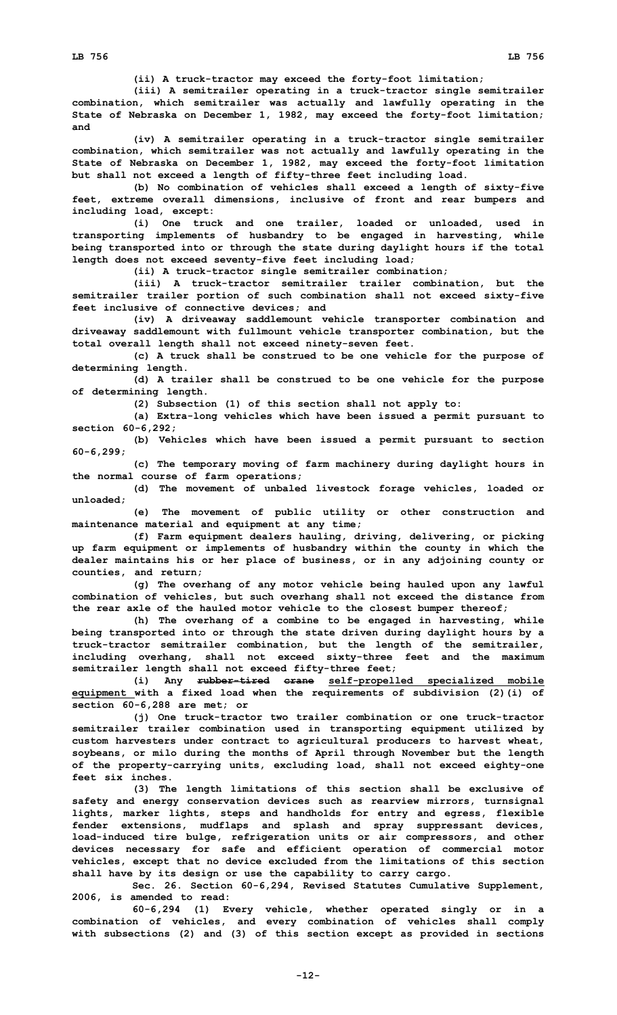**(ii) <sup>A</sup> truck-tractor may exceed the forty-foot limitation;**

**(iii) <sup>A</sup> semitrailer operating in <sup>a</sup> truck-tractor single semitrailer combination, which semitrailer was actually and lawfully operating in the State of Nebraska on December 1, 1982, may exceed the forty-foot limitation; and**

**(iv) <sup>A</sup> semitrailer operating in <sup>a</sup> truck-tractor single semitrailer combination, which semitrailer was not actually and lawfully operating in the State of Nebraska on December 1, 1982, may exceed the forty-foot limitation but shall not exceed <sup>a</sup> length of fifty-three feet including load.**

**(b) No combination of vehicles shall exceed <sup>a</sup> length of sixty-five feet, extreme overall dimensions, inclusive of front and rear bumpers and including load, except:**

**(i) One truck and one trailer, loaded or unloaded, used in transporting implements of husbandry to be engaged in harvesting, while being transported into or through the state during daylight hours if the total length does not exceed seventy-five feet including load;**

**(ii) <sup>A</sup> truck-tractor single semitrailer combination;**

**(iii) A truck-tractor semitrailer trailer combination, but the semitrailer trailer portion of such combination shall not exceed sixty-five feet inclusive of connective devices; and**

**(iv) <sup>A</sup> driveaway saddlemount vehicle transporter combination and driveaway saddlemount with fullmount vehicle transporter combination, but the total overall length shall not exceed ninety-seven feet.**

**(c) <sup>A</sup> truck shall be construed to be one vehicle for the purpose of determining length.**

**(d) <sup>A</sup> trailer shall be construed to be one vehicle for the purpose of determining length.**

**(2) Subsection (1) of this section shall not apply to:**

**(a) Extra-long vehicles which have been issued <sup>a</sup> permit pursuant to section 60-6,292;**

**(b) Vehicles which have been issued <sup>a</sup> permit pursuant to section 60-6,299;**

**(c) The temporary moving of farm machinery during daylight hours in the normal course of farm operations;**

**(d) The movement of unbaled livestock forage vehicles, loaded or unloaded;**

**(e) The movement of public utility or other construction and maintenance material and equipment at any time;**

**(f) Farm equipment dealers hauling, driving, delivering, or picking up farm equipment or implements of husbandry within the county in which the dealer maintains his or her place of business, or in any adjoining county or counties, and return;**

**(g) The overhang of any motor vehicle being hauled upon any lawful combination of vehicles, but such overhang shall not exceed the distance from the rear axle of the hauled motor vehicle to the closest bumper thereof;**

**(h) The overhang of <sup>a</sup> combine to be engaged in harvesting, while being transported into or through the state driven during daylight hours by <sup>a</sup> truck-tractor semitrailer combination, but the length of the semitrailer, including overhang, shall not exceed sixty-three feet and the maximum semitrailer length shall not exceed fifty-three feet;**

**(i) Any rubber-tired crane self-propelled specialized mobile equipment with <sup>a</sup> fixed load when the requirements of subdivision (2)(i) of section 60-6,288 are met; or**

**(j) One truck-tractor two trailer combination or one truck-tractor semitrailer trailer combination used in transporting equipment utilized by custom harvesters under contract to agricultural producers to harvest wheat, soybeans, or milo during the months of April through November but the length of the property-carrying units, excluding load, shall not exceed eighty-one feet six inches.**

**(3) The length limitations of this section shall be exclusive of safety and energy conservation devices such as rearview mirrors, turnsignal lights, marker lights, steps and handholds for entry and egress, flexible fender extensions, mudflaps and splash and spray suppressant devices, load-induced tire bulge, refrigeration units or air compressors, and other devices necessary for safe and efficient operation of commercial motor vehicles, except that no device excluded from the limitations of this section shall have by its design or use the capability to carry cargo.**

**Sec. 26. Section 60-6,294, Revised Statutes Cumulative Supplement, 2006, is amended to read:**

**60-6,294 (1) Every vehicle, whether operated singly or in <sup>a</sup> combination of vehicles, and every combination of vehicles shall comply with subsections (2) and (3) of this section except as provided in sections**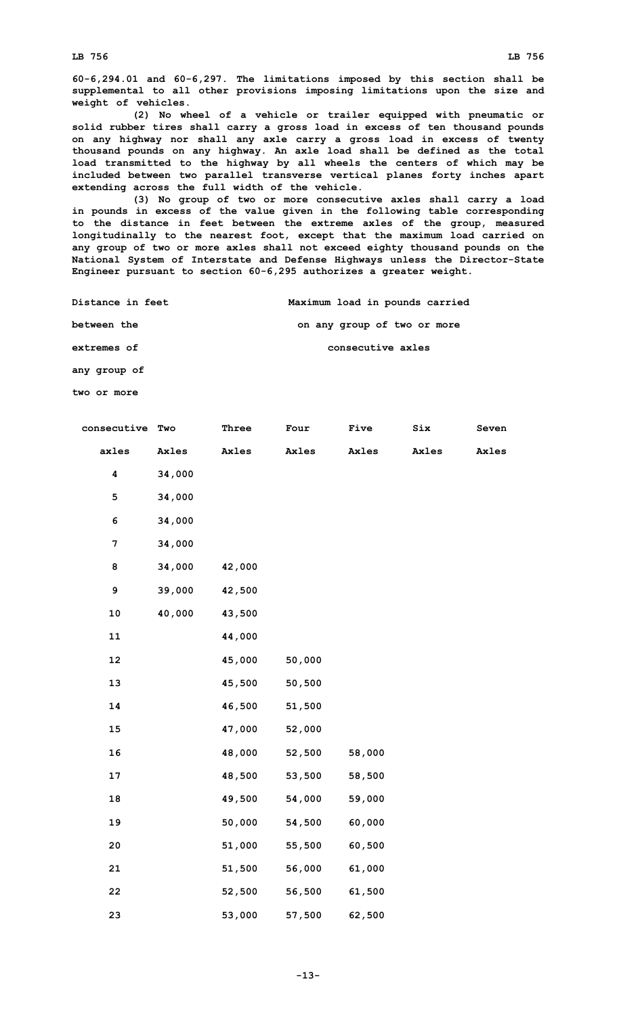**60-6,294.01 and 60-6,297. The limitations imposed by this section shall be supplemental to all other provisions imposing limitations upon the size and weight of vehicles.**

**(2) No wheel of <sup>a</sup> vehicle or trailer equipped with pneumatic or solid rubber tires shall carry <sup>a</sup> gross load in excess of ten thousand pounds on any highway nor shall any axle carry <sup>a</sup> gross load in excess of twenty thousand pounds on any highway. An axle load shall be defined as the total load transmitted to the highway by all wheels the centers of which may be included between two parallel transverse vertical planes forty inches apart extending across the full width of the vehicle.**

**(3) No group of two or more consecutive axles shall carry <sup>a</sup> load in pounds in excess of the value given in the following table corresponding to the distance in feet between the extreme axles of the group, measured longitudinally to the nearest foot, except that the maximum load carried on any group of two or more axles shall not exceed eighty thousand pounds on the National System of Interstate and Defense Highways unless the Director-State Engineer pursuant to section 60-6,295 authorizes <sup>a</sup> greater weight.**

**Distance in feet Maximum load in pounds carried**

**between the on any group of two or more**

**extremes of consecutive axles**

**any group of**

**two or more**

| consecutive Two         |        | Three  | Four   | Five   | $\texttt{Six}$ | Seven |
|-------------------------|--------|--------|--------|--------|----------------|-------|
| axles                   | Axles  | Axles  | Axles  | Axles  | Axles          | Axles |
| $\overline{\mathbf{4}}$ | 34,000 |        |        |        |                |       |
| 5                       | 34,000 |        |        |        |                |       |
| 6                       | 34,000 |        |        |        |                |       |
| 7                       | 34,000 |        |        |        |                |       |
| 8                       | 34,000 | 42,000 |        |        |                |       |
| 9                       | 39,000 | 42,500 |        |        |                |       |
| 10                      | 40,000 | 43,500 |        |        |                |       |
| ${\bf 11}$              |        | 44,000 |        |        |                |       |
| 12                      |        | 45,000 | 50,000 |        |                |       |
| 13                      |        | 45,500 | 50,500 |        |                |       |
| 14                      |        | 46,500 | 51,500 |        |                |       |
| 15                      |        | 47,000 | 52,000 |        |                |       |
| 16                      |        | 48,000 | 52,500 | 58,000 |                |       |
| 17                      |        | 48,500 | 53,500 | 58,500 |                |       |
| 18                      |        | 49,500 | 54,000 | 59,000 |                |       |
| 19                      |        | 50,000 | 54,500 | 60,000 |                |       |
| 20                      |        | 51,000 | 55,500 | 60,500 |                |       |
| 21                      |        | 51,500 | 56,000 | 61,000 |                |       |
| 22                      |        | 52,500 | 56,500 | 61,500 |                |       |
| 23                      |        | 53,000 | 57,500 | 62,500 |                |       |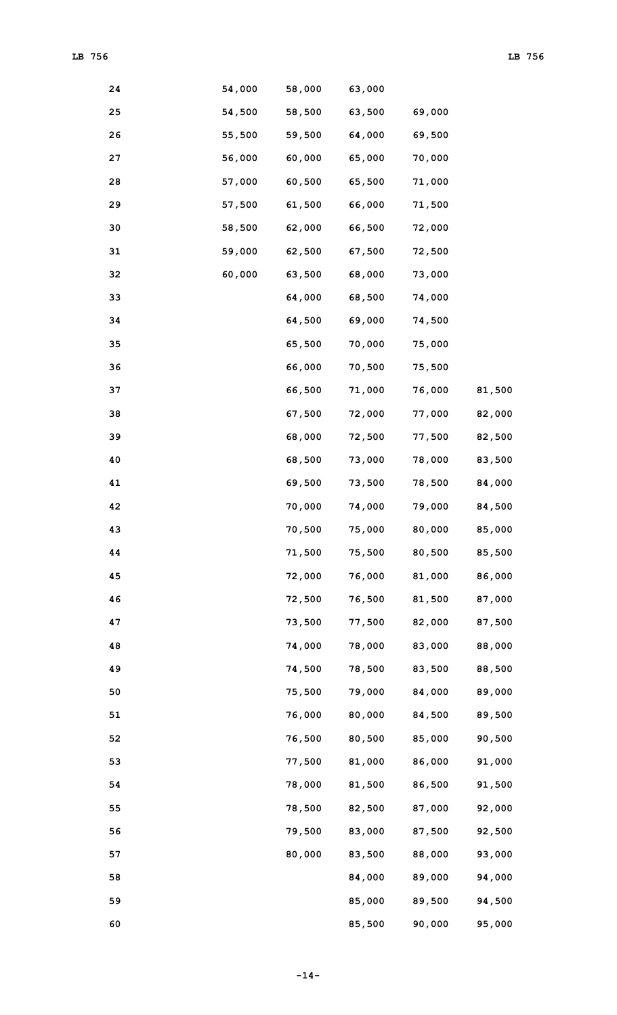| 24 | 54,000 | 58,000 | 63,000 |        |        |
|----|--------|--------|--------|--------|--------|
| 25 | 54,500 | 58,500 | 63,500 | 69,000 |        |
| 26 | 55,500 | 59,500 | 64,000 | 69,500 |        |
| 27 | 56,000 | 60,000 | 65,000 | 70,000 |        |
| 28 | 57,000 | 60,500 | 65,500 | 71,000 |        |
| 29 | 57,500 | 61,500 | 66,000 | 71,500 |        |
| 30 | 58,500 | 62,000 | 66,500 | 72,000 |        |
| 31 | 59,000 | 62,500 | 67,500 | 72,500 |        |
| 32 | 60,000 | 63,500 | 68,000 | 73,000 |        |
| 33 |        | 64,000 | 68,500 | 74,000 |        |
| 34 |        | 64,500 | 69,000 | 74,500 |        |
| 35 |        | 65,500 | 70,000 | 75,000 |        |
| 36 |        | 66,000 | 70,500 | 75,500 |        |
| 37 |        | 66,500 | 71,000 | 76,000 | 81,500 |
| 38 |        | 67,500 | 72,000 | 77,000 | 82,000 |
| 39 |        | 68,000 | 72,500 | 77,500 | 82,500 |
| 40 |        | 68,500 | 73,000 | 78,000 | 83,500 |
| 41 |        | 69,500 | 73,500 | 78,500 | 84,000 |
| 42 |        | 70,000 | 74,000 | 79,000 | 84,500 |
| 43 |        | 70,500 | 75,000 | 80,000 | 85,000 |
| 44 |        | 71,500 | 75,500 | 80,500 | 85,500 |
| 45 |        | 72,000 | 76,000 | 81,000 | 86,000 |
| 46 |        | 72,500 | 76,500 | 81,500 | 87,000 |
| 47 |        | 73,500 | 77,500 | 82,000 | 87,500 |
| 48 |        | 74,000 | 78,000 | 83,000 | 88,000 |
| 49 |        | 74,500 | 78,500 | 83,500 | 88,500 |
| 50 |        | 75,500 | 79,000 | 84,000 | 89,000 |
| 51 |        | 76,000 | 80,000 | 84,500 | 89,500 |
| 52 |        | 76,500 | 80,500 | 85,000 | 90,500 |
| 53 |        | 77,500 | 81,000 | 86,000 | 91,000 |
| 54 |        | 78,000 | 81,500 | 86,500 | 91,500 |
| 55 |        | 78,500 | 82,500 | 87,000 | 92,000 |
| 56 |        | 79,500 | 83,000 | 87,500 | 92,500 |
| 57 |        | 80,000 | 83,500 | 88,000 | 93,000 |
| 58 |        |        | 84,000 | 89,000 | 94,000 |
| 59 |        |        | 85,000 | 89,500 | 94,500 |
| 60 |        |        | 85,500 | 90,000 | 95,000 |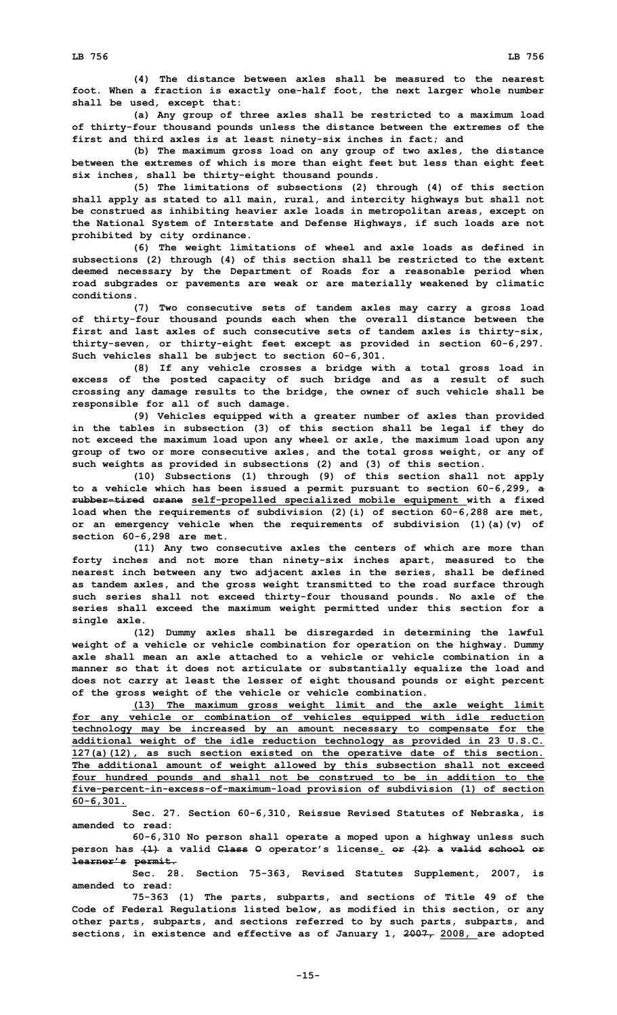**(4) The distance between axles shall be measured to the nearest foot. When <sup>a</sup> fraction is exactly one-half foot, the next larger whole number shall be used, except that:**

**(a) Any group of three axles shall be restricted to <sup>a</sup> maximum load of thirty-four thousand pounds unless the distance between the extremes of the first and third axles is at least ninety-six inches in fact; and**

**(b) The maximum gross load on any group of two axles, the distance between the extremes of which is more than eight feet but less than eight feet six inches, shall be thirty-eight thousand pounds.**

**(5) The limitations of subsections (2) through (4) of this section shall apply as stated to all main, rural, and intercity highways but shall not be construed as inhibiting heavier axle loads in metropolitan areas, except on the National System of Interstate and Defense Highways, if such loads are not prohibited by city ordinance.**

**(6) The weight limitations of wheel and axle loads as defined in subsections (2) through (4) of this section shall be restricted to the extent deemed necessary by the Department of Roads for <sup>a</sup> reasonable period when road subgrades or pavements are weak or are materially weakened by climatic conditions.**

**(7) Two consecutive sets of tandem axles may carry <sup>a</sup> gross load of thirty-four thousand pounds each when the overall distance between the first and last axles of such consecutive sets of tandem axles is thirty-six, thirty-seven, or thirty-eight feet except as provided in section 60-6,297. Such vehicles shall be subject to section 60-6,301.**

**(8) If any vehicle crosses <sup>a</sup> bridge with <sup>a</sup> total gross load in excess of the posted capacity of such bridge and as <sup>a</sup> result of such crossing any damage results to the bridge, the owner of such vehicle shall be responsible for all of such damage.**

**(9) Vehicles equipped with <sup>a</sup> greater number of axles than provided in the tables in subsection (3) of this section shall be legal if they do not exceed the maximum load upon any wheel or axle, the maximum load upon any group of two or more consecutive axles, and the total gross weight, or any of such weights as provided in subsections (2) and (3) of this section.**

**(10) Subsections (1) through (9) of this section shall not apply to <sup>a</sup> vehicle which has been issued <sup>a</sup> permit pursuant to section 60-6,299, <sup>a</sup> rubber-tired crane self-propelled specialized mobile equipment with <sup>a</sup> fixed load when the requirements of subdivision (2)(i) of section 60-6,288 are met, or an emergency vehicle when the requirements of subdivision (1)(a)(v) of section 60-6,298 are met.**

**(11) Any two consecutive axles the centers of which are more than forty inches and not more than ninety-six inches apart, measured to the nearest inch between any two adjacent axles in the series, shall be defined as tandem axles, and the gross weight transmitted to the road surface through such series shall not exceed thirty-four thousand pounds. No axle of the series shall exceed the maximum weight permitted under this section for <sup>a</sup> single axle.**

**(12) Dummy axles shall be disregarded in determining the lawful weight of <sup>a</sup> vehicle or vehicle combination for operation on the highway. Dummy axle shall mean an axle attached to a vehicle or vehicle combination in a manner so that it does not articulate or substantially equalize the load and does not carry at least the lesser of eight thousand pounds or eight percent of the gross weight of the vehicle or vehicle combination.**

**(13) The maximum gross weight limit and the axle weight limit for any vehicle or combination of vehicles equipped with idle reduction technology may be increased by an amount necessary to compensate for the additional weight of the idle reduction technology as provided in 23 U.S.C. 127(a)(12), as such section existed on the operative date of this section. The additional amount of weight allowed by this subsection shall not exceed four hundred pounds and shall not be construed to be in addition to the five-percent-in-excess-of-maximum-load provision of subdivision (1) of section 60-6,301.**

**Sec. 27. Section 60-6,310, Reissue Revised Statutes of Nebraska, is amended to read:**

**60-6,310 No person shall operate <sup>a</sup> moped upon <sup>a</sup> highway unless such person has (1) <sup>a</sup> valid Class O operator's license. or (2) <sup>a</sup> valid school or learner's permit.**

**Sec. 28. Section 75-363, Revised Statutes Supplement, 2007, is amended to read:**

**75-363 (1) The parts, subparts, and sections of Title 49 of the Code of Federal Regulations listed below, as modified in this section, or any other parts, subparts, and sections referred to by such parts, subparts, and sections, in existence and effective as of January 1, 2007, 2008, are adopted**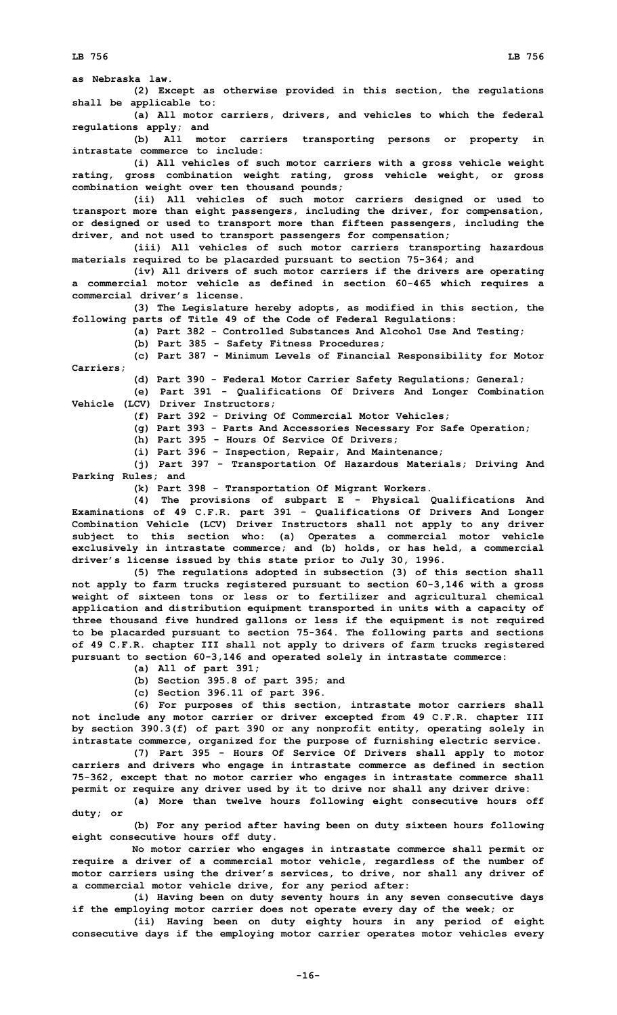**as Nebraska law. (2) Except as otherwise provided in this section, the regulations shall be applicable to: (a) All motor carriers, drivers, and vehicles to which the federal regulations apply; and (b) All motor carriers transporting persons or property in intrastate commerce to include: (i) All vehicles of such motor carriers with <sup>a</sup> gross vehicle weight rating, gross combination weight rating, gross vehicle weight, or gross combination weight over ten thousand pounds; (ii) All vehicles of such motor carriers designed or used to transport more than eight passengers, including the driver, for compensation, or designed or used to transport more than fifteen passengers, including the driver, and not used to transport passengers for compensation;**

**(iii) All vehicles of such motor carriers transporting hazardous materials required to be placarded pursuant to section 75-364; and**

**(iv) All drivers of such motor carriers if the drivers are operating <sup>a</sup> commercial motor vehicle as defined in section 60-465 which requires <sup>a</sup> commercial driver's license.**

**(3) The Legislature hereby adopts, as modified in this section, the following parts of Title 49 of the Code of Federal Regulations:**

**(a) Part 382 - Controlled Substances And Alcohol Use And Testing;**

**(b) Part 385 - Safety Fitness Procedures;**

**(c) Part 387 - Minimum Levels of Financial Responsibility for Motor Carriers;**

**(d) Part 390 - Federal Motor Carrier Safety Regulations; General;**

**(e) Part 391 - Qualifications Of Drivers And Longer Combination Vehicle (LCV) Driver Instructors;**

**(f) Part 392 - Driving Of Commercial Motor Vehicles;**

**(g) Part 393 - Parts And Accessories Necessary For Safe Operation;**

**(h) Part 395 - Hours Of Service Of Drivers;**

**(i) Part 396 - Inspection, Repair, And Maintenance;**

**(j) Part 397 - Transportation Of Hazardous Materials; Driving And Parking Rules; and**

**(k) Part 398 - Transportation Of Migrant Workers.**

**(4) The provisions of subpart <sup>E</sup> - Physical Qualifications And Examinations of 49 C.F.R. part 391 - Qualifications Of Drivers And Longer Combination Vehicle (LCV) Driver Instructors shall not apply to any driver subject to this section who: (a) Operates <sup>a</sup> commercial motor vehicle exclusively in intrastate commerce; and (b) holds, or has held, <sup>a</sup> commercial driver's license issued by this state prior to July 30, 1996.**

**(5) The regulations adopted in subsection (3) of this section shall not apply to farm trucks registered pursuant to section 60-3,146 with <sup>a</sup> gross weight of sixteen tons or less or to fertilizer and agricultural chemical application and distribution equipment transported in units with <sup>a</sup> capacity of three thousand five hundred gallons or less if the equipment is not required to be placarded pursuant to section 75-364. The following parts and sections of 49 C.F.R. chapter III shall not apply to drivers of farm trucks registered pursuant to section 60-3,146 and operated solely in intrastate commerce:**

**(a) All of part 391;**

**(b) Section 395.8 of part 395; and**

**(c) Section 396.11 of part 396.**

**(6) For purposes of this section, intrastate motor carriers shall not include any motor carrier or driver excepted from 49 C.F.R. chapter III by section 390.3(f) of part 390 or any nonprofit entity, operating solely in intrastate commerce, organized for the purpose of furnishing electric service.**

**(7) Part 395 - Hours Of Service Of Drivers shall apply to motor carriers and drivers who engage in intrastate commerce as defined in section 75-362, except that no motor carrier who engages in intrastate commerce shall permit or require any driver used by it to drive nor shall any driver drive:**

**(a) More than twelve hours following eight consecutive hours off duty; or**

**(b) For any period after having been on duty sixteen hours following eight consecutive hours off duty.**

**No motor carrier who engages in intrastate commerce shall permit or require <sup>a</sup> driver of <sup>a</sup> commercial motor vehicle, regardless of the number of motor carriers using the driver's services, to drive, nor shall any driver of <sup>a</sup> commercial motor vehicle drive, for any period after:**

**(i) Having been on duty seventy hours in any seven consecutive days if the employing motor carrier does not operate every day of the week; or**

**(ii) Having been on duty eighty hours in any period of eight consecutive days if the employing motor carrier operates motor vehicles every**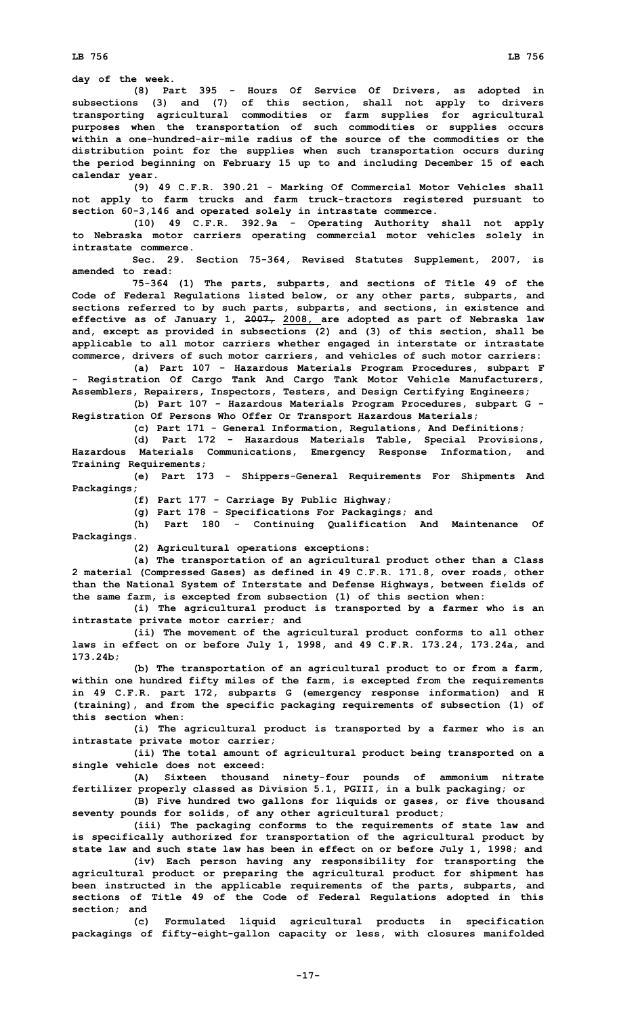**day of the week.**

**(8) Part 395 - Hours Of Service Of Drivers, as adopted in subsections (3) and (7) of this section, shall not apply to drivers transporting agricultural commodities or farm supplies for agricultural purposes when the transportation of such commodities or supplies occurs within a one-hundred-air-mile radius of the source of the commodities or the distribution point for the supplies when such transportation occurs during the period beginning on February 15 up to and including December 15 of each calendar year.**

**(9) 49 C.F.R. 390.21 - Marking Of Commercial Motor Vehicles shall not apply to farm trucks and farm truck-tractors registered pursuant to section 60-3,146 and operated solely in intrastate commerce.**

**(10) 49 C.F.R. 392.9a - Operating Authority shall not apply to Nebraska motor carriers operating commercial motor vehicles solely in intrastate commerce.**

**Sec. 29. Section 75-364, Revised Statutes Supplement, 2007, is amended to read:**

**75-364 (1) The parts, subparts, and sections of Title 49 of the Code of Federal Regulations listed below, or any other parts, subparts, and sections referred to by such parts, subparts, and sections, in existence and effective as of January 1, 2007, 2008, are adopted as part of Nebraska law and, except as provided in subsections (2) and (3) of this section, shall be applicable to all motor carriers whether engaged in interstate or intrastate commerce, drivers of such motor carriers, and vehicles of such motor carriers:**

**(a) Part 107 - Hazardous Materials Program Procedures, subpart <sup>F</sup> - Registration Of Cargo Tank And Cargo Tank Motor Vehicle Manufacturers, Assemblers, Repairers, Inspectors, Testers, and Design Certifying Engineers;**

**(b) Part 107 - Hazardous Materials Program Procedures, subpart G - Registration Of Persons Who Offer Or Transport Hazardous Materials;**

**(c) Part 171 - General Information, Regulations, And Definitions;**

**(d) Part 172 - Hazardous Materials Table, Special Provisions, Hazardous Materials Communications, Emergency Response Information, and Training Requirements;**

**(e) Part 173 - Shippers-General Requirements For Shipments And Packagings;**

**(f) Part 177 - Carriage By Public Highway;**

**(g) Part 178 - Specifications For Packagings; and**

**(h) Part 180 - Continuing Qualification And Maintenance Of Packagings.**

**(2) Agricultural operations exceptions:**

**(a) The transportation of an agricultural product other than <sup>a</sup> Class 2 material (Compressed Gases) as defined in 49 C.F.R. 171.8, over roads, other than the National System of Interstate and Defense Highways, between fields of the same farm, is excepted from subsection (1) of this section when:**

**(i) The agricultural product is transported by <sup>a</sup> farmer who is an intrastate private motor carrier; and**

**(ii) The movement of the agricultural product conforms to all other laws in effect on or before July 1, 1998, and 49 C.F.R. 173.24, 173.24a, and 173.24b;**

**(b) The transportation of an agricultural product to or from <sup>a</sup> farm, within one hundred fifty miles of the farm, is excepted from the requirements in 49 C.F.R. part 172, subparts G (emergency response information) and <sup>H</sup> (training), and from the specific packaging requirements of subsection (1) of this section when:**

**(i) The agricultural product is transported by <sup>a</sup> farmer who is an intrastate private motor carrier;**

**(ii) The total amount of agricultural product being transported on <sup>a</sup> single vehicle does not exceed:**

**(A) Sixteen thousand ninety-four pounds of ammonium nitrate fertilizer properly classed as Division 5.1, PGIII, in <sup>a</sup> bulk packaging; or**

**(B) Five hundred two gallons for liquids or gases, or five thousand seventy pounds for solids, of any other agricultural product;**

**(iii) The packaging conforms to the requirements of state law and is specifically authorized for transportation of the agricultural product by state law and such state law has been in effect on or before July 1, 1998; and**

**(iv) Each person having any responsibility for transporting the agricultural product or preparing the agricultural product for shipment has been instructed in the applicable requirements of the parts, subparts, and sections of Title 49 of the Code of Federal Regulations adopted in this section; and**

**(c) Formulated liquid agricultural products in specification packagings of fifty-eight-gallon capacity or less, with closures manifolded**

**-17-**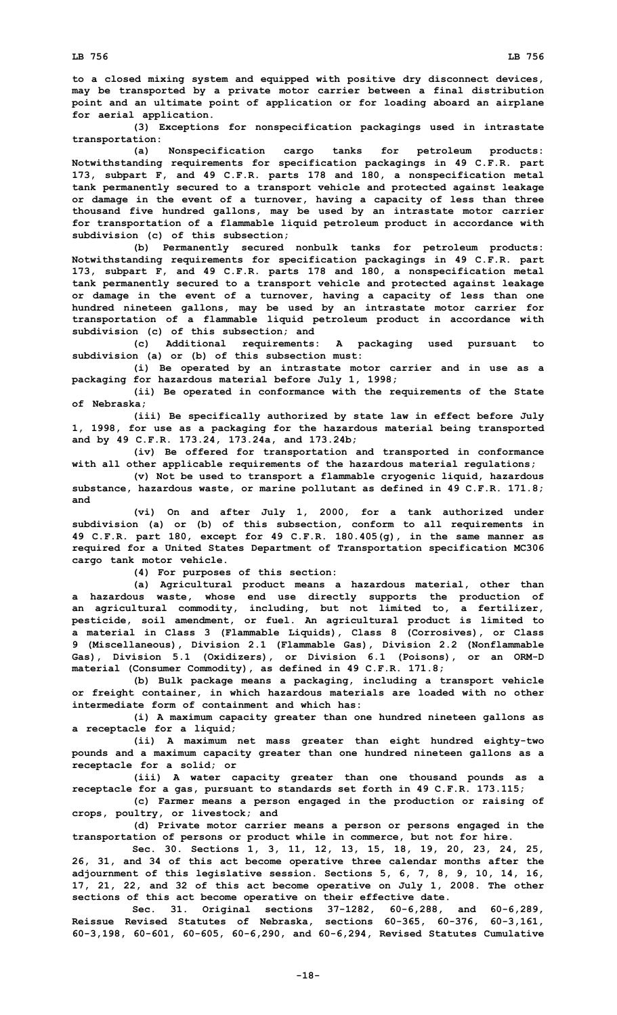**to <sup>a</sup> closed mixing system and equipped with positive dry disconnect devices, may be transported by <sup>a</sup> private motor carrier between <sup>a</sup> final distribution point and an ultimate point of application or for loading aboard an airplane for aerial application.**

**(3) Exceptions for nonspecification packagings used in intrastate transportation:**

**(a) Nonspecification cargo tanks for petroleum products: Notwithstanding requirements for specification packagings in 49 C.F.R. part 173, subpart F, and 49 C.F.R. parts 178 and 180, <sup>a</sup> nonspecification metal tank permanently secured to <sup>a</sup> transport vehicle and protected against leakage or damage in the event of <sup>a</sup> turnover, having <sup>a</sup> capacity of less than three thousand five hundred gallons, may be used by an intrastate motor carrier for transportation of <sup>a</sup> flammable liquid petroleum product in accordance with subdivision (c) of this subsection;**

**(b) Permanently secured nonbulk tanks for petroleum products: Notwithstanding requirements for specification packagings in 49 C.F.R. part 173, subpart F, and 49 C.F.R. parts 178 and 180, <sup>a</sup> nonspecification metal tank permanently secured to <sup>a</sup> transport vehicle and protected against leakage or damage in the event of <sup>a</sup> turnover, having <sup>a</sup> capacity of less than one hundred nineteen gallons, may be used by an intrastate motor carrier for transportation of <sup>a</sup> flammable liquid petroleum product in accordance with subdivision (c) of this subsection; and**

**(c) Additional requirements: <sup>A</sup> packaging used pursuant to subdivision (a) or (b) of this subsection must:**

**(i) Be operated by an intrastate motor carrier and in use as <sup>a</sup> packaging for hazardous material before July 1, 1998;**

**(ii) Be operated in conformance with the requirements of the State of Nebraska;**

**(iii) Be specifically authorized by state law in effect before July 1, 1998, for use as <sup>a</sup> packaging for the hazardous material being transported and by 49 C.F.R. 173.24, 173.24a, and 173.24b;**

**(iv) Be offered for transportation and transported in conformance with all other applicable requirements of the hazardous material regulations;**

**(v) Not be used to transport <sup>a</sup> flammable cryogenic liquid, hazardous substance, hazardous waste, or marine pollutant as defined in 49 C.F.R. 171.8; and**

**(vi) On and after July 1, 2000, for <sup>a</sup> tank authorized under subdivision (a) or (b) of this subsection, conform to all requirements in 49 C.F.R. part 180, except for 49 C.F.R. 180.405(g), in the same manner as required for <sup>a</sup> United States Department of Transportation specification MC306 cargo tank motor vehicle.**

**(4) For purposes of this section:**

**(a) Agricultural product means <sup>a</sup> hazardous material, other than <sup>a</sup> hazardous waste, whose end use directly supports the production of an agricultural commodity, including, but not limited to, <sup>a</sup> fertilizer, pesticide, soil amendment, or fuel. An agricultural product is limited to <sup>a</sup> material in Class 3 (Flammable Liquids), Class 8 (Corrosives), or Class 9 (Miscellaneous), Division 2.1 (Flammable Gas), Division 2.2 (Nonflammable Gas), Division 5.1 (Oxidizers), or Division 6.1 (Poisons), or an ORM-D material (Consumer Commodity), as defined in 49 C.F.R. 171.8;**

**(b) Bulk package means <sup>a</sup> packaging, including <sup>a</sup> transport vehicle or freight container, in which hazardous materials are loaded with no other intermediate form of containment and which has:**

**(i) <sup>A</sup> maximum capacity greater than one hundred nineteen gallons as <sup>a</sup> receptacle for <sup>a</sup> liquid;**

**(ii) <sup>A</sup> maximum net mass greater than eight hundred eighty-two pounds and <sup>a</sup> maximum capacity greater than one hundred nineteen gallons as <sup>a</sup> receptacle for <sup>a</sup> solid; or**

**(iii) <sup>A</sup> water capacity greater than one thousand pounds as <sup>a</sup> receptacle for <sup>a</sup> gas, pursuant to standards set forth in 49 C.F.R. 173.115;**

**(c) Farmer means <sup>a</sup> person engaged in the production or raising of crops, poultry, or livestock; and**

**(d) Private motor carrier means <sup>a</sup> person or persons engaged in the transportation of persons or product while in commerce, but not for hire.**

**Sec. 30. Sections 1, 3, 11, 12, 13, 15, 18, 19, 20, 23, 24, 25, 26, 31, and 34 of this act become operative three calendar months after the adjournment of this legislative session. Sections 5, 6, 7, 8, 9, 10, 14, 16, 17, 21, 22, and 32 of this act become operative on July 1, 2008. The other sections of this act become operative on their effective date.**

**Sec. 31. Original sections 37-1282, 60-6,288, and 60-6,289, Reissue Revised Statutes of Nebraska, sections 60-365, 60-376, 60-3,161, 60-3,198, 60-601, 60-605, 60-6,290, and 60-6,294, Revised Statutes Cumulative**